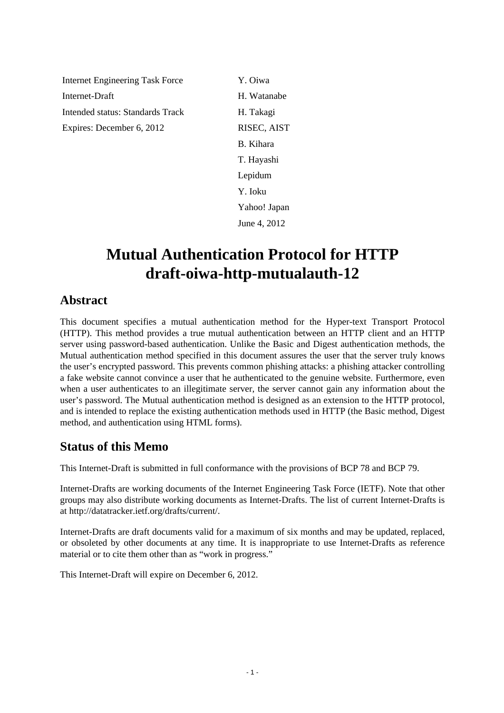Internet Engineering Task Force Y. Oiwa Internet-Draft H. Watanabe Intended status: Standards Track H. Takagi Expires: December 6, 2012 RISEC, AIST

B. Kihara T. Hayashi Lepidum Y. Ioku Yahoo! Japan June 4, 2012

# **Mutual Authentication Protocol for HTTP draft-oiwa-http-mutualauth-12**

### **Abstract**

This document specifies a mutual authentication method for the Hyper-text Transport Protocol (HTTP). This method provides a true mutual authentication between an HTTP client and an HTTP server using password-based authentication. Unlike the Basic and Digest authentication methods, the Mutual authentication method specified in this document assures the user that the server truly knows the user's encrypted password. This prevents common phishing attacks: a phishing attacker controlling a fake website cannot convince a user that he authenticated to the genuine website. Furthermore, even when a user authenticates to an illegitimate server, the server cannot gain any information about the user's password. The Mutual authentication method is designed as an extension to the HTTP protocol, and is intended to replace the existing authentication methods used in HTTP (the Basic method, Digest method, and authentication using HTML forms).

### **Status of this Memo**

This Internet-Draft is submitted in full conformance with the provisions of BCP 78 and BCP 79.

Internet-Drafts are working documents of the Internet Engineering Task Force (IETF). Note that other groups may also distribute working documents as Internet-Drafts. The list of current Internet-Drafts is at http://datatracker.ietf.org/drafts/current/.

Internet-Drafts are draft documents valid for a maximum of six months and may be updated, replaced, or obsoleted by other documents at any time. It is inappropriate to use Internet-Drafts as reference material or to cite them other than as "work in progress."

This Internet-Draft will expire on December 6, 2012.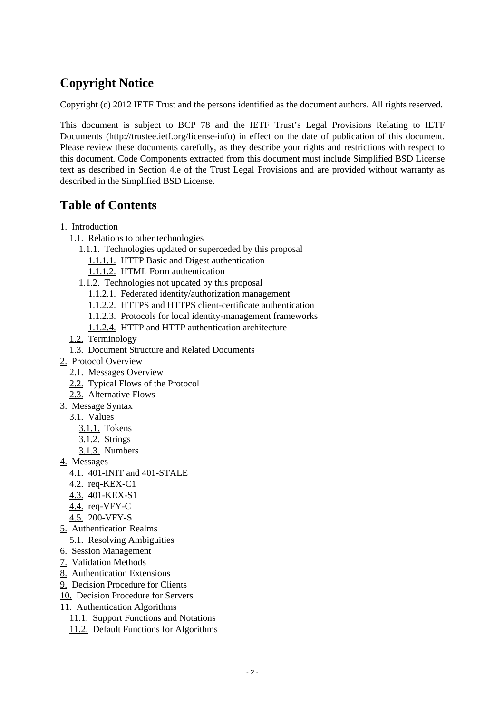# **Copyright Notice**

Copyright (c) 2012 IETF Trust and the persons identified as the document authors. All rights reserved.

This document is subject to BCP 78 and the IETF Trust's Legal Provisions Relating to IETF Documents (http://trustee.ietf.org/license-info) in effect on the date of publication of this document. Please review these documents carefully, as they describe your rights and restrictions with respect to this document. Code Components extracted from this document must include Simplified BSD License text as described in Section 4.e of the Trust Legal Provisions and are provided without warranty as described in the Simplified BSD License.

# **Table of Contents**

- [1.](#page-2-0) Introduction
	- [1.1.](#page-3-0) Relations to other technologies
		- [1.1.1.](#page-3-1) Technologies updated or superceded by this proposal
			- [1.1.1.1.](#page-3-2) HTTP Basic and Digest authentication
			- [1.1.1.2.](#page-3-3) HTML Form authentication
		- [1.1.2.](#page-4-0) Technologies not updated by this proposal
			- [1.1.2.1.](#page-4-1) Federated identity/authorization management
			- [1.1.2.2.](#page-4-2) HTTPS and HTTPS client-certificate authentication
			- [1.1.2.3.](#page-5-0) Protocols for local identity-management frameworks
			- [1.1.2.4.](#page-5-1) HTTP and HTTP authentication architecture
	- [1.2.](#page-5-2) Terminology
	- [1.3.](#page-5-3) Document Structure and Related Documents
- [2.](#page-6-0) Protocol Overview
	- [2.1.](#page-6-1) Messages Overview
	- [2.2.](#page-7-0) Typical Flows of the Protocol
	- [2.3.](#page-8-0) Alternative Flows
- [3.](#page-9-0) Message Syntax
	- [3.1.](#page-10-0) Values
		- [3.1.1.](#page-10-1) Tokens
		- [3.1.2.](#page-10-2) Strings
		- [3.1.3.](#page-11-0) Numbers
- [4.](#page-11-1) Messages
	- [4.1.](#page-12-0) 401-INIT and 401-STALE
	- [4.2.](#page-13-0) req-KEX-C1
	- [4.3.](#page-14-0) 401-KEX-S1
	- [4.4.](#page-15-0) req-VFY-C
	- [4.5.](#page-15-1) 200-VFY-S
- [5.](#page-16-0) Authentication Realms
	- [5.1.](#page-17-0) Resolving Ambiguities
- [6.](#page-17-1) Session Management
- [7.](#page-18-0) Validation Methods
- [8.](#page-19-0) Authentication Extensions
- [9.](#page-20-0) Decision Procedure for Clients
- [10.](#page-22-0) Decision Procedure for Servers
- [11.](#page-24-0) Authentication Algorithms
	- [11.1.](#page-24-1) Support Functions and Notations
	- [11.2.](#page-25-0) Default Functions for Algorithms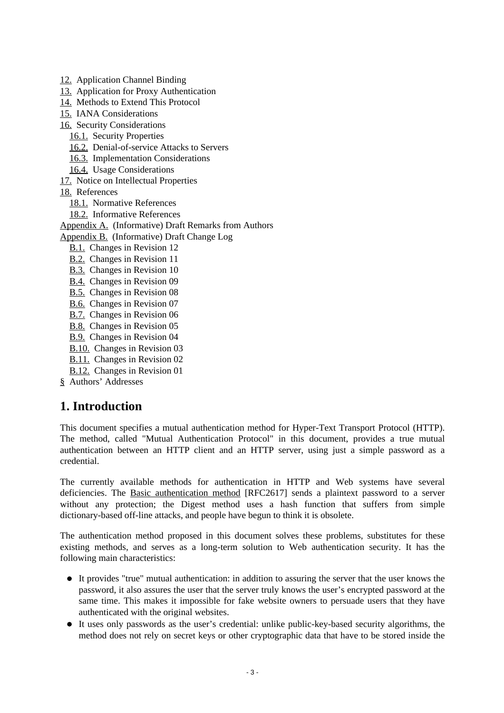[12.](#page-26-0) Application Channel Binding

- [13.](#page-26-1) Application for Proxy Authentication
- [14.](#page-27-0) Methods to Extend This Protocol
- [15.](#page-27-1) IANA Considerations
- [16.](#page-27-2) Security Considerations
	- [16.1.](#page-27-3) Security Properties
	- [16.2.](#page-27-4) Denial-of-service Attacks to Servers
	- [16.3.](#page-28-0) Implementation Considerations
	- [16.4.](#page-28-1) Usage Considerations
- [17.](#page-29-0) Notice on Intellectual Properties
- [18.](#page-29-1) References
	- [18.1.](#page-29-1) Normative References
	- [18.2.](#page-30-0) Informative References
- [Appendix A.](#page-31-0) (Informative) Draft Remarks from Authors
- [Appendix B.](#page-31-1) (Informative) Draft Change Log
	- [B.1.](#page-31-2) Changes in Revision 12
	- [B.2.](#page-31-3) Changes in Revision 11
	- [B.3.](#page-32-0) Changes in Revision 10
	- [B.4.](#page-32-1) Changes in Revision 09
	- [B.5.](#page-33-0) Changes in Revision 08
	- [B.6.](#page-33-1) Changes in Revision 07
	- [B.7.](#page-33-2) Changes in Revision 06
	- [B.8.](#page-33-3) Changes in Revision 05
	- [B.9.](#page-33-4) Changes in Revision 04
	- [B.10.](#page-33-5) Changes in Revision 03
	- [B.11.](#page-34-0) Changes in Revision 02
	- [B.12.](#page-34-1) Changes in Revision 01
- [§](#page-34-2) Authors' Addresses

### <span id="page-2-0"></span>**1. Introduction**

This document specifies a mutual authentication method for Hyper-Text Transport Protocol (HTTP). The method, called "Mutual Authentication Protocol" in this document, provides a true mutual authentication between an HTTP client and an HTTP server, using just a simple password as a credential.

The currently available methods for authentication in HTTP and Web systems have several deficiencies. The [Basic authentication method](#page-30-1) [RFC2617] sends a plaintext password to a server without any protection; the Digest method uses a hash function that suffers from simple dictionary-based off-line attacks, and people have begun to think it is obsolete.

The authentication method proposed in this document solves these problems, substitutes for these existing methods, and serves as a long-term solution to Web authentication security. It has the following main characteristics:

- It provides "true" mutual authentication: in addition to assuring the server that the user knows the password, it also assures the user that the server truly knows the user's encrypted password at the same time. This makes it impossible for fake website owners to persuade users that they have authenticated with the original websites.
- It uses only passwords as the user's credential: unlike public-key-based security algorithms, the method does not rely on secret keys or other cryptographic data that have to be stored inside the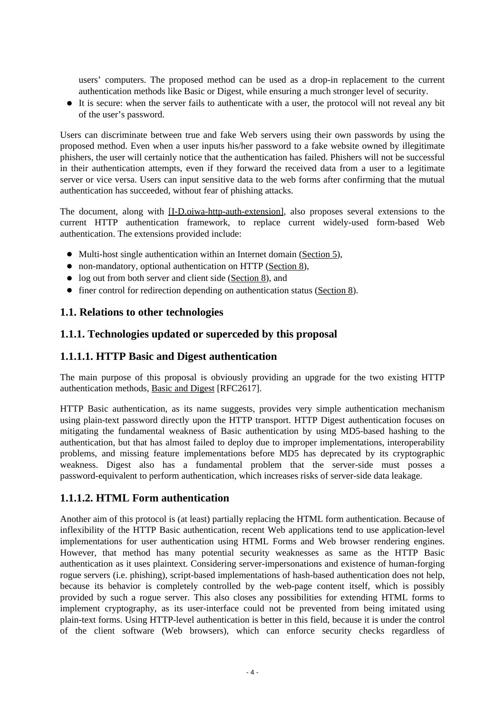users' computers. The proposed method can be used as a drop-in replacement to the current authentication methods like Basic or Digest, while ensuring a much stronger level of security.

It is secure: when the server fails to authenticate with a user, the protocol will not reveal any bit of the user's password.

Users can discriminate between true and fake Web servers using their own passwords by using the proposed method. Even when a user inputs his/her password to a fake website owned by illegitimate phishers, the user will certainly notice that the authentication has failed. Phishers will not be successful in their authentication attempts, even if they forward the received data from a user to a legitimate server or vice versa. Users can input sensitive data to the web forms after confirming that the mutual authentication has succeeded, without fear of phishing attacks.

The document, along with [\[I-D.oiwa-http-auth-extension\],](#page-29-2) also proposes several extensions to the current HTTP authentication framework, to replace current widely-used form-based Web authentication. The extensions provided include:

- Multi-host single authentication within an Internet domain [\(Section 5\)](#page-16-0),
- non-mandatory, optional authentication on HTTP [\(Section 8\)](#page-19-0),
- log out from both server and client side [\(Section 8\)](#page-19-0), and
- finer control for redirection depending on authentication status [\(Section 8\)](#page-19-0).

#### <span id="page-3-0"></span>**1.1. Relations to other technologies**

#### <span id="page-3-1"></span>**1.1.1. Technologies updated or superceded by this proposal**

#### <span id="page-3-2"></span>**1.1.1.1. HTTP Basic and Digest authentication**

The main purpose of this proposal is obviously providing an upgrade for the two existing HTTP authentication methods, [Basic and Digest](#page-30-1) [RFC2617].

HTTP Basic authentication, as its name suggests, provides very simple authentication mechanism using plain-text password directly upon the HTTP transport. HTTP Digest authentication focuses on mitigating the fundamental weakness of Basic authentication by using MD5-based hashing to the authentication, but that has almost failed to deploy due to improper implementations, interoperability problems, and missing feature implementations before MD5 has deprecated by its cryptographic weakness. Digest also has a fundamental problem that the server-side must posses a password-equivalent to perform authentication, which increases risks of server-side data leakage.

#### <span id="page-3-3"></span>**1.1.1.2. HTML Form authentication**

Another aim of this protocol is (at least) partially replacing the HTML form authentication. Because of inflexibility of the HTTP Basic authentication, recent Web applications tend to use application-level implementations for user authentication using HTML Forms and Web browser rendering engines. However, that method has many potential security weaknesses as same as the HTTP Basic authentication as it uses plaintext. Considering server-impersonations and existence of human-forging rogue servers (i.e. phishing), script-based implementations of hash-based authentication does not help, because its behavior is completely controlled by the web-page content itself, which is possibly provided by such a rogue server. This also closes any possibilities for extending HTML forms to implement cryptography, as its user-interface could not be prevented from being imitated using plain-text forms. Using HTTP-level authentication is better in this field, because it is under the control of the client software (Web browsers), which can enforce security checks regardless of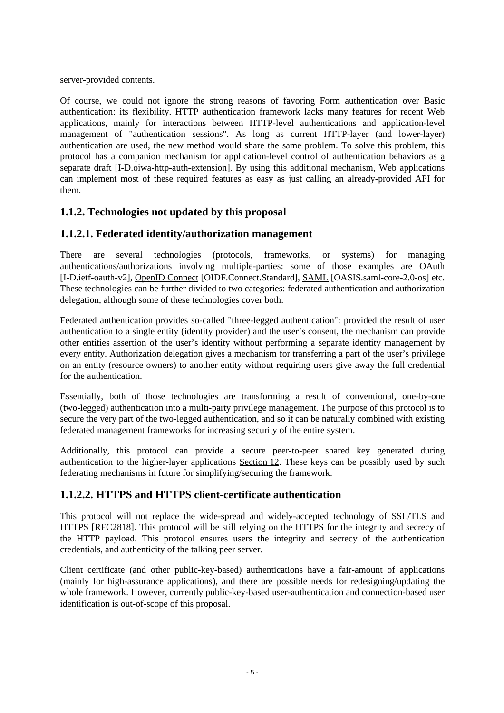server-provided contents.

Of course, we could not ignore the strong reasons of favoring Form authentication over Basic authentication: its flexibility. HTTP authentication framework lacks many features for recent Web applications, mainly for interactions between HTTP-level authentications and application-level management of "authentication sessions". As long as current HTTP-layer (and lower-layer) authentication are used, the new method would share the same problem. To solve this problem, this protocol has a companion mechanism for application-level control of authentication behaviors as [a](#page-29-2) [separate draft](#page-29-2) [I-D.oiwa-http-auth-extension]. By using this additional mechanism, Web applications can implement most of these required features as easy as just calling an already-provided API for them.

#### <span id="page-4-0"></span>**1.1.2. Technologies not updated by this proposal**

### <span id="page-4-1"></span>**1.1.2.1. Federated identity/authorization management**

There are several technologies (protocols, frameworks, or systems) for managing authentications/authorizations involving multiple-parties: some of those examples are [OAuth](#page-30-1) [I-D.ietf-oauth-v2], [OpenID Connect](#page-30-1) [OIDF.Connect.Standard], [SAML](#page-30-1) [OASIS.saml-core-2.0-os] etc. These technologies can be further divided to two categories: federated authentication and authorization delegation, although some of these technologies cover both.

Federated authentication provides so-called "three-legged authentication": provided the result of user authentication to a single entity (identity provider) and the user's consent, the mechanism can provide other entities assertion of the user's identity without performing a separate identity management by every entity. Authorization delegation gives a mechanism for transferring a part of the user's privilege on an entity (resource owners) to another entity without requiring users give away the full credential for the authentication.

Essentially, both of those technologies are transforming a result of conventional, one-by-one (two-legged) authentication into a multi-party privilege management. The purpose of this protocol is to secure the very part of the two-legged authentication, and so it can be naturally combined with existing federated management frameworks for increasing security of the entire system.

Additionally, this protocol can provide a secure peer-to-peer shared key generated during authentication to the higher-layer applications [Section 12.](#page-26-0) These keys can be possibly used by such federating mechanisms in future for simplifying/securing the framework.

### <span id="page-4-2"></span>**1.1.2.2. HTTPS and HTTPS client-certificate authentication**

This protocol will not replace the wide-spread and widely-accepted technology of SSL/TLS and [HTTPS](#page-30-1) [RFC2818]. This protocol will be still relying on the HTTPS for the integrity and secrecy of the HTTP payload. This protocol ensures users the integrity and secrecy of the authentication credentials, and authenticity of the talking peer server.

Client certificate (and other public-key-based) authentications have a fair-amount of applications (mainly for high-assurance applications), and there are possible needs for redesigning/updating the whole framework. However, currently public-key-based user-authentication and connection-based user identification is out-of-scope of this proposal.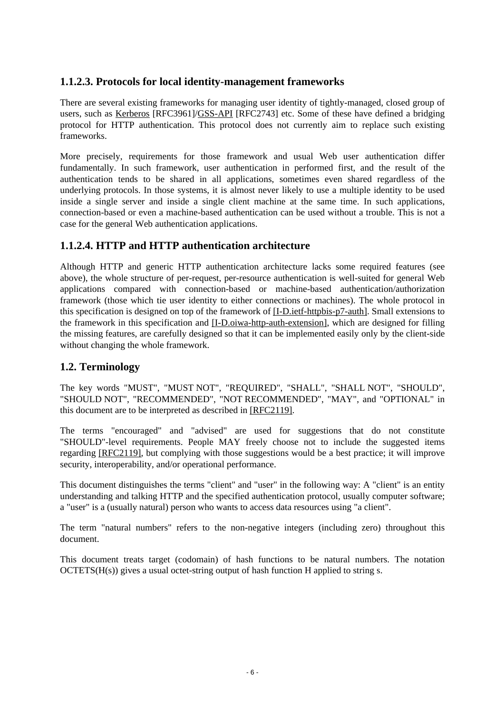#### <span id="page-5-0"></span>**1.1.2.3. Protocols for local identity-management frameworks**

There are several existing frameworks for managing user identity of tightly-managed, closed group of users, such as [Kerberos](#page-30-1) [RFC3961][/GSS-API](#page-30-1) [RFC2743] etc. Some of these have defined a bridging protocol for HTTP authentication. This protocol does not currently aim to replace such existing frameworks.

More precisely, requirements for those framework and usual Web user authentication differ fundamentally. In such framework, user authentication in performed first, and the result of the authentication tends to be shared in all applications, sometimes even shared regardless of the underlying protocols. In those systems, it is almost never likely to use a multiple identity to be used inside a single server and inside a single client machine at the same time. In such applications, connection-based or even a machine-based authentication can be used without a trouble. This is not a case for the general Web authentication applications.

#### <span id="page-5-1"></span>**1.1.2.4. HTTP and HTTP authentication architecture**

Although HTTP and generic HTTP authentication architecture lacks some required features (see above), the whole structure of per-request, per-resource authentication is well-suited for general Web applications compared with connection-based or machine-based authentication/authorization framework (those which tie user identity to either connections or machines). The whole protocol in this specification is designed on top of the framework of [\[I-D.ietf-httpbis-p7-auth\].](#page-29-2) Small extensions to the framework in this specification and [\[I-D.oiwa-http-auth-extension\],](#page-29-2) which are designed for filling the missing features, are carefully designed so that it can be implemented easily only by the client-side without changing the whole framework.

#### <span id="page-5-2"></span>**1.2. Terminology**

The key words "MUST", "MUST NOT", "REQUIRED", "SHALL", "SHALL NOT", "SHOULD", "SHOULD NOT", "RECOMMENDED", "NOT RECOMMENDED", "MAY", and "OPTIONAL" in this document are to be interpreted as described in [\[RFC2119\].](#page-29-2)

The terms "encouraged" and "advised" are used for suggestions that do not constitute "SHOULD"-level requirements. People MAY freely choose not to include the suggested items regarding [\[RFC2119\],](#page-29-2) but complying with those suggestions would be a best practice; it will improve security, interoperability, and/or operational performance.

This document distinguishes the terms "client" and "user" in the following way: A "client" is an entity understanding and talking HTTP and the specified authentication protocol, usually computer software; a "user" is a (usually natural) person who wants to access data resources using "a client".

The term "natural numbers" refers to the non-negative integers (including zero) throughout this document.

<span id="page-5-3"></span>This document treats target (codomain) of hash functions to be natural numbers. The notation OCTETS(H(s)) gives a usual octet-string output of hash function H applied to string s.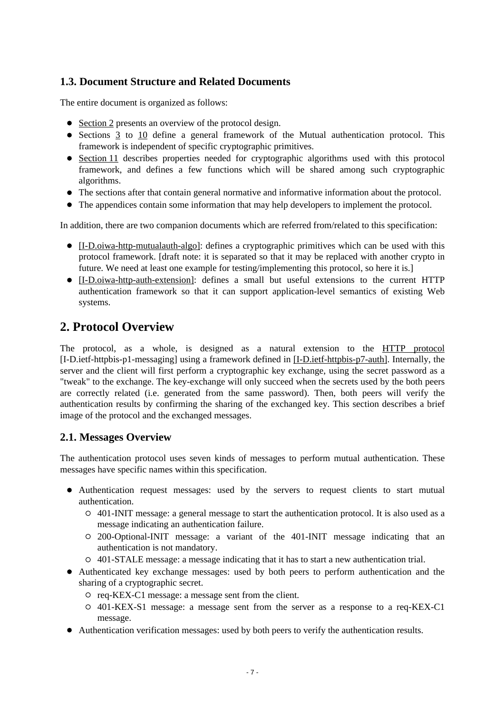### **1.3. Document Structure and Related Documents**

The entire document is organized as follows:

- [Section 2](#page-6-0) presents an overview of the protocol design.
- Sections [3](#page-9-0) to [10](#page-22-0) define a general framework of the Mutual authentication protocol. This framework is independent of specific cryptographic primitives.
- [Section 11](#page-24-0) describes properties needed for cryptographic algorithms used with this protocol framework, and defines a few functions which will be shared among such cryptographic algorithms.
- The sections after that contain general normative and informative information about the protocol.
- The appendices contain some information that may help developers to implement the protocol.

In addition, there are two companion documents which are referred from/related to this specification:

- [\[I-D.oiwa-http-mutualauth-algo\]:](#page-30-1) defines a cryptographic primitives which can be used with this protocol framework. [draft note: it is separated so that it may be replaced with another crypto in future. We need at least one example for testing/implementing this protocol, so here it is.]
- [\[I-D.oiwa-http-auth-extension\]:](#page-29-2) defines a small but useful extensions to the current HTTP authentication framework so that it can support application-level semantics of existing Web systems.

### <span id="page-6-0"></span>**2. Protocol Overview**

The protocol, as a whole, is designed as a natural extension to the [HTTP protocol](#page-29-2) [I-D.ietf-httpbis-p1-messaging] using a framework defined in [\[I-D.ietf-httpbis-p7-auth\].](#page-29-2) Internally, the server and the client will first perform a cryptographic key exchange, using the secret password as a "tweak" to the exchange. The key-exchange will only succeed when the secrets used by the both peers are correctly related (i.e. generated from the same password). Then, both peers will verify the authentication results by confirming the sharing of the exchanged key. This section describes a brief image of the protocol and the exchanged messages.

#### <span id="page-6-1"></span>**2.1. Messages Overview**

The authentication protocol uses seven kinds of messages to perform mutual authentication. These messages have specific names within this specification.

- Authentication request messages: used by the servers to request clients to start mutual authentication.
	- 401-INIT message: a general message to start the authentication protocol. It is also used as a message indicating an authentication failure.
	- 200-Optional-INIT message: a variant of the 401-INIT message indicating that an authentication is not mandatory.
	- 401-STALE message: a message indicating that it has to start a new authentication trial.
- Authenticated key exchange messages: used by both peers to perform authentication and the sharing of a cryptographic secret.
	- req-KEX-C1 message: a message sent from the client.
	- 401-KEX-S1 message: a message sent from the server as a response to a req-KEX-C1 message.
- Authentication verification messages: used by both peers to verify the authentication results.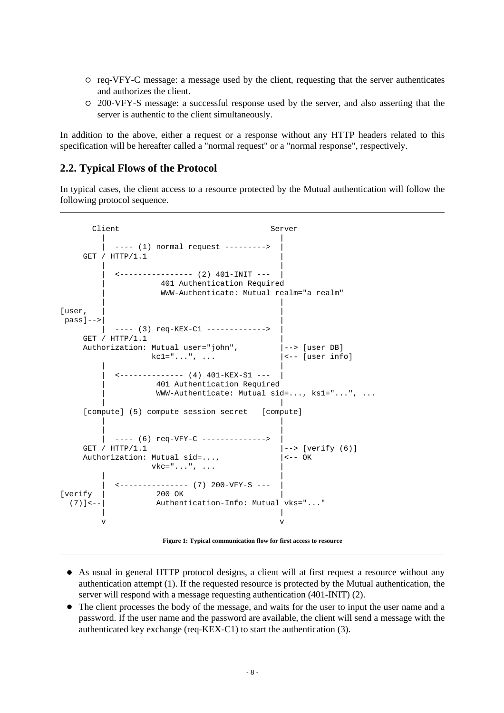- req-VFY-C message: a message used by the client, requesting that the server authenticates and authorizes the client.
- 200-VFY-S message: a successful response used by the server, and also asserting that the server is authentic to the client simultaneously.

In addition to the above, either a request or a response without any HTTP headers related to this specification will be hereafter called a "normal request" or a "normal response", respectively.

#### <span id="page-7-0"></span>**2.2. Typical Flows of the Protocol**

In typical cases, the client access to a resource protected by the Mutual authentication will follow the following protocol sequence.

Client Server | | ---- (1) normal request ---------> GET /  $HTTP/1.1$  | |  $\leftarrow$  ---------------- (2) 401-INIT --- | 401 Authentication Required | WWW-Authenticate: Mutual realm="a realm" | | [user, pass]-->| | ---- (3) req-KEX-C1 -------------> GET /  $HTTP/1.1$ Authorization: Mutual user="john", |--> [user DB]  $kcl = "...", ...$   $| <-$  [user info] | | | <-------------- (4) 401-KEX-S1 --- | | 401 Authentication Required | WWW-Authenticate: Mutual sid=..., ks1="...", ... | | [compute] (5) compute session secret [compute] | | | | ---- (6) req-VFY-C --------------> GET / HTTP/1.1 |--> [verify (6)] Authorization: Mutual sid=...,  $\vert$ <-- OK  $\text{vkc} = " \dots " \dots$  | |  $\leftarrow$  --------------- (7) 200-VFY-S ---[verify | 200 OK] (7)]<--| Authentication-Info: Mutual vks="..." | | v v

 **Figure 1: Typical communication flow for first access to resource** 

- As usual in general HTTP protocol designs, a client will at first request a resource without any authentication attempt (1). If the requested resource is protected by the Mutual authentication, the server will respond with a message requesting authentication (401-INIT) (2).
- The client processes the body of the message, and waits for the user to input the user name and a password. If the user name and the password are available, the client will send a message with the authenticated key exchange (req-KEX-C1) to start the authentication (3).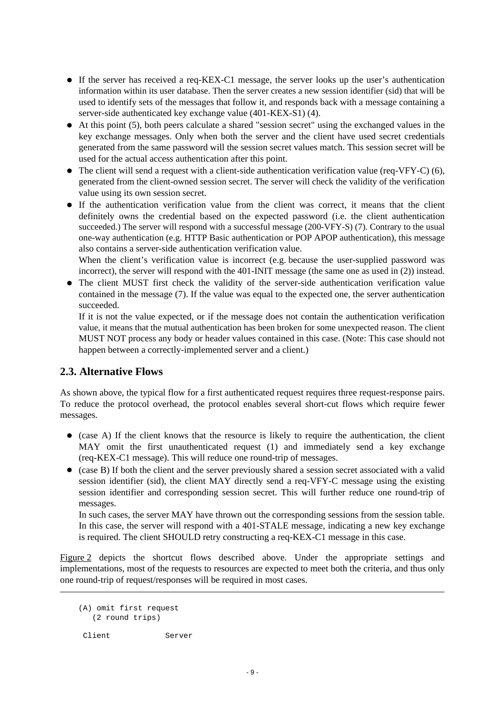- If the server has received a req-KEX-C1 message, the server looks up the user's authentication information within its user database. Then the server creates a new session identifier (sid) that will be used to identify sets of the messages that follow it, and responds back with a message containing a server-side authenticated key exchange value (401-KEX-S1) (4).
- At this point (5), both peers calculate a shared "session secret" using the exchanged values in the key exchange messages. Only when both the server and the client have used secret credentials generated from the same password will the session secret values match. This session secret will be used for the actual access authentication after this point.
- The client will send a request with a client-side authentication verification value (req-VFY-C) (6), generated from the client-owned session secret. The server will check the validity of the verification value using its own session secret.
- If the authentication verification value from the client was correct, it means that the client definitely owns the credential based on the expected password (i.e. the client authentication succeeded.) The server will respond with a successful message (200-VFY-S) (7). Contrary to the usual one-way authentication (e.g. HTTP Basic authentication or POP APOP authentication), this message also contains a server-side authentication verification value.

When the client's verification value is incorrect (e.g. because the user-supplied password was incorrect), the server will respond with the 401-INIT message (the same one as used in (2)) instead.

• The client MUST first check the validity of the server-side authentication verification value contained in the message (7). If the value was equal to the expected one, the server authentication succeeded.

If it is not the value expected, or if the message does not contain the authentication verification value, it means that the mutual authentication has been broken for some unexpected reason. The client MUST NOT process any body or header values contained in this case. (Note: This case should not happen between a correctly-implemented server and a client.)

#### <span id="page-8-0"></span>**2.3. Alternative Flows**

As shown above, the typical flow for a first authenticated request requires three request-response pairs. To reduce the protocol overhead, the protocol enables several short-cut flows which require fewer messages.

- (case A) If the client knows that the resource is likely to require the authentication, the client MAY omit the first unauthenticated request (1) and immediately send a key exchange (req-KEX-C1 message). This will reduce one round-trip of messages.
- (case B) If both the client and the server previously shared a session secret associated with a valid session identifier (sid), the client MAY directly send a req-VFY-C message using the existing session identifier and corresponding session secret. This will further reduce one round-trip of messages.

In such cases, the server MAY have thrown out the corresponding sessions from the session table. In this case, the server will respond with a 401-STALE message, indicating a new key exchange is required. The client SHOULD retry constructing a req-KEX-C1 message in this case.

<span id="page-8-1"></span>[Figure 2](#page-8-1) depicts the shortcut flows described above. Under the appropriate settings and implementations, most of the requests to resources are expected to meet both the criteria, and thus only one round-trip of request/responses will be required in most cases.

 (A) omit first request (2 round trips)

Client Server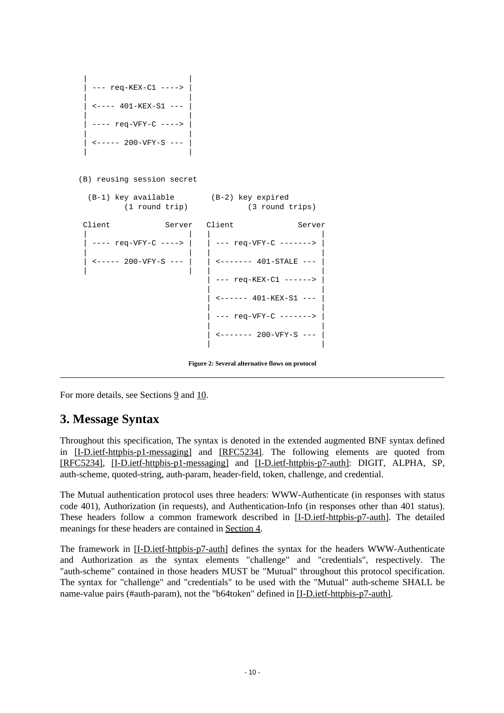```
 | |
   --- req-KEX-C1 ---->
 | |
   \textrm{<----} 401-KEX-S1 ---
 | |
   ---- req-VFY-C ---->
 | |
   \textrm{---} 200-\textrm{VFY-S} ---
 | |
```
(B) reusing session secret

| (B-1) key available<br>$(1$ round $trip)$ |  | (B-2) key expired<br>(3 round trips) |                                    |
|-------------------------------------------|--|--------------------------------------|------------------------------------|
| Client                                    |  | Server Client                        | Server                             |
| $---$ req-VFY-C ---->                     |  | --- reg-VFY-C ------->               |                                    |
| $\t-$ ---- 200-VFY-S ---                  |  | <------- 401-STALE ---               |                                    |
|                                           |  |                                      | --- req-KEX-C1 ------>             |
|                                           |  |                                      | $\leftarrow$ ------ 401-KEX-S1 --- |
|                                           |  |                                      | --- req-VFY-C ------->             |
|                                           |  | <------- 200-VFY-S ---               |                                    |
|                                           |  |                                      |                                    |

 **Figure 2: Several alternative flows on protocol** 

For more details, see Sections [9](#page-20-0) and [10.](#page-22-0)

### <span id="page-9-0"></span>**3. Message Syntax**

Throughout this specification, The syntax is denoted in the extended augmented BNF syntax defined in [\[I-D.ietf-httpbis-p1-messaging\]](#page-29-2) and [\[RFC5234\].](#page-29-2) The following elements are quoted from [\[RFC5234\],](#page-29-2) [\[I-D.ietf-httpbis-p1-messaging\]](#page-29-2) and [\[I-D.ietf-httpbis-p7-auth\]:](#page-29-2) DIGIT, ALPHA, SP, auth-scheme, quoted-string, auth-param, header-field, token, challenge, and credential.

The Mutual authentication protocol uses three headers: WWW-Authenticate (in responses with status code 401), Authorization (in requests), and Authentication-Info (in responses other than 401 status). These headers follow a common framework described in [\[I-D.ietf-httpbis-p7-auth\].](#page-29-2) The detailed meanings for these headers are contained in [Section 4.](#page-11-1)

The framework in [\[I-D.ietf-httpbis-p7-auth\]](#page-29-2) defines the syntax for the headers WWW-Authenticate and Authorization as the syntax elements "challenge" and "credentials", respectively. The "auth-scheme" contained in those headers MUST be "Mutual" throughout this protocol specification. The syntax for "challenge" and "credentials" to be used with the "Mutual" auth-scheme SHALL be name-value pairs (#auth-param), not the "b64token" defined in [\[I-D.ietf-httpbis-p7-auth\].](#page-29-2)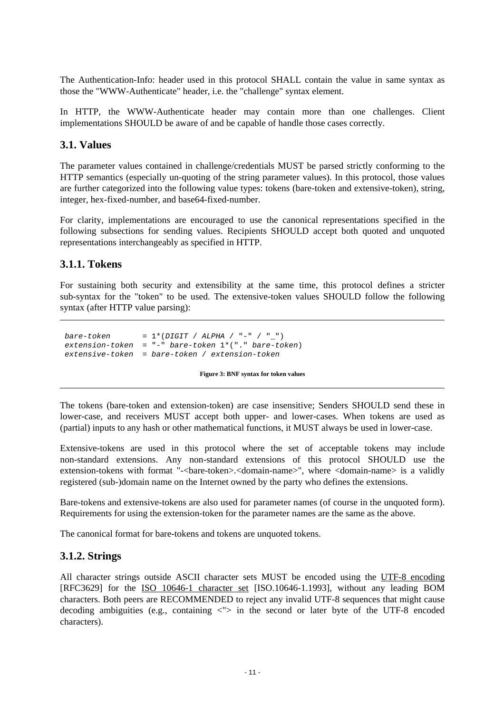The Authentication-Info: header used in this protocol SHALL contain the value in same syntax as those the "WWW-Authenticate" header, i.e. the "challenge" syntax element.

In HTTP, the WWW-Authenticate header may contain more than one challenges. Client implementations SHOULD be aware of and be capable of handle those cases correctly.

#### <span id="page-10-0"></span>**3.1. Values**

The parameter values contained in challenge/credentials MUST be parsed strictly conforming to the HTTP semantics (especially un-quoting of the string parameter values). In this protocol, those values are further categorized into the following value types: tokens (bare-token and extensive-token), string, integer, hex-fixed-number, and base64-fixed-number.

For clarity, implementations are encouraged to use the canonical representations specified in the following subsections for sending values. Recipients SHOULD accept both quoted and unquoted representations interchangeably as specified in HTTP.

#### <span id="page-10-1"></span>**3.1.1. Tokens**

For sustaining both security and extensibility at the same time, this protocol defines a stricter sub-syntax for the "token" to be used. The extensive-token values SHOULD follow the following syntax (after HTTP value parsing):

```
bare-token = 1*(DIST / ALPHA / "-" / "__")extension-token = "-" bare-token 1*("." bare-token)
extensive-token = bare-token / extension-token
```
 **Figure 3: BNF syntax for token values** 

The tokens (bare-token and extension-token) are case insensitive; Senders SHOULD send these in lower-case, and receivers MUST accept both upper- and lower-cases. When tokens are used as (partial) inputs to any hash or other mathematical functions, it MUST always be used in lower-case.

Extensive-tokens are used in this protocol where the set of acceptable tokens may include non-standard extensions. Any non-standard extensions of this protocol SHOULD use the extension-tokens with format "-<br/>bare-token>.<domain-name>", where <domain-name> is a validly registered (sub-)domain name on the Internet owned by the party who defines the extensions.

Bare-tokens and extensive-tokens are also used for parameter names (of course in the unquoted form). Requirements for using the extension-token for the parameter names are the same as the above.

The canonical format for bare-tokens and tokens are unquoted tokens.

#### <span id="page-10-2"></span>**3.1.2. Strings**

All character strings outside ASCII character sets MUST be encoded using the [UTF-8 encoding](#page-29-2) [RFC3629] for the [ISO 10646-1 character set](#page-30-1) [ISO.10646-1.1993], without any leading BOM characters. Both peers are RECOMMENDED to reject any invalid UTF-8 sequences that might cause decoding ambiguities (e.g., containing  $\langle$ "> in the second or later byte of the UTF-8 encoded characters).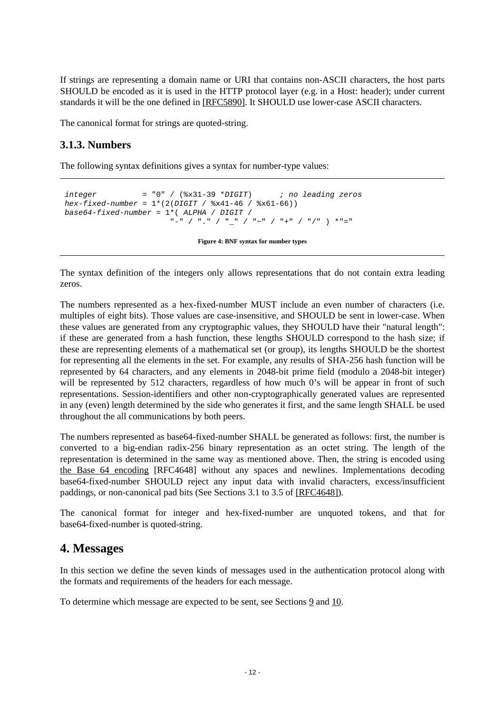If strings are representing a domain name or URI that contains non-ASCII characters, the host parts SHOULD be encoded as it is used in the HTTP protocol layer (e.g. in a Host: header); under current standards it will be the one defined in [\[RFC5890\].](#page-31-4) It SHOULD use lower-case ASCII characters.

The canonical format for strings are quoted-string.

#### <span id="page-11-0"></span>**3.1.3. Numbers**

The following syntax definitions gives a syntax for number-type values:

```
integer = "0" / (8x31-39 * DIGIT) ; no leading zeros
hex\text{-}fixed-number = 1*(2(DIGIT / 8x41-46 / 8x61-66))base64-fixed-number = 1*(ALPHA / DIGIT / "-" / "." / "_" / "~" / "+" / "/" ) *"="
```
 **Figure 4: BNF syntax for number types** 

The syntax definition of the integers only allows representations that do not contain extra leading zeros.

The numbers represented as a hex-fixed-number MUST include an even number of characters (i.e. multiples of eight bits). Those values are case-insensitive, and SHOULD be sent in lower-case. When these values are generated from any cryptographic values, they SHOULD have their "natural length": if these are generated from a hash function, these lengths SHOULD correspond to the hash size; if these are representing elements of a mathematical set (or group), its lengths SHOULD be the shortest for representing all the elements in the set. For example, any results of SHA-256 hash function will be represented by 64 characters, and any elements in 2048-bit prime field (modulo a 2048-bit integer) will be represented by 512 characters, regardless of how much 0's will be appear in front of such representations. Session-identifiers and other non-cryptographically generated values are represented in any (even) length determined by the side who generates it first, and the same length SHALL be used throughout the all communications by both peers.

The numbers represented as base64-fixed-number SHALL be generated as follows: first, the number is converted to a big-endian radix-256 binary representation as an octet string. The length of the representation is determined in the same way as mentioned above. Then, the string is encoded using [the Base 64 encoding](#page-29-2) [RFC4648] without any spaces and newlines. Implementations decoding base64-fixed-number SHOULD reject any input data with invalid characters, excess/insufficient paddings, or non-canonical pad bits (See Sections 3.1 to 3.5 of [\[RFC4648\]\)](#page-29-2).

The canonical format for integer and hex-fixed-number are unquoted tokens, and that for base64-fixed-number is quoted-string.

### <span id="page-11-1"></span>**4. Messages**

In this section we define the seven kinds of messages used in the authentication protocol along with the formats and requirements of the headers for each message.

To determine which message are expected to be sent, see Sections [9](#page-20-0) and [10.](#page-22-0)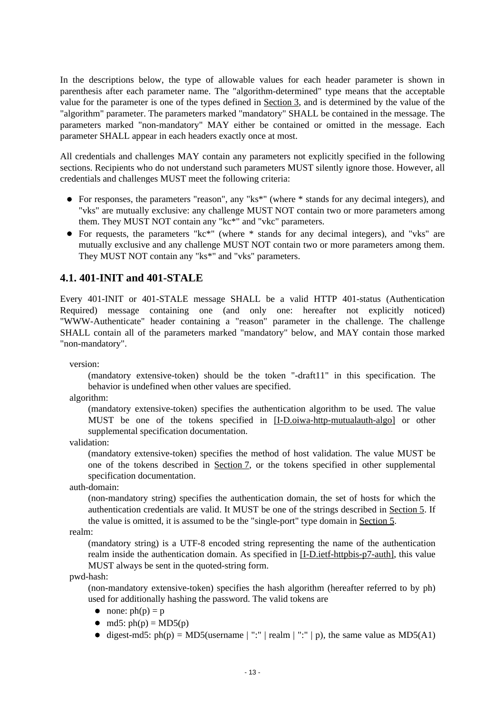In the descriptions below, the type of allowable values for each header parameter is shown in parenthesis after each parameter name. The "algorithm-determined" type means that the acceptable value for the parameter is one of the types defined in [Section 3,](#page-9-0) and is determined by the value of the "algorithm" parameter. The parameters marked "mandatory" SHALL be contained in the message. The parameters marked "non-mandatory" MAY either be contained or omitted in the message. Each parameter SHALL appear in each headers exactly once at most.

All credentials and challenges MAY contain any parameters not explicitly specified in the following sections. Recipients who do not understand such parameters MUST silently ignore those. However, all credentials and challenges MUST meet the following criteria:

- For responses, the parameters "reason", any "ks\*" (where \* stands for any decimal integers), and "vks" are mutually exclusive: any challenge MUST NOT contain two or more parameters among them. They MUST NOT contain any "kc\*" and "vkc" parameters.
- For requests, the parameters "kc\*" (where \* stands for any decimal integers), and "vks" are mutually exclusive and any challenge MUST NOT contain two or more parameters among them. They MUST NOT contain any "ks\*" and "vks" parameters.

#### <span id="page-12-0"></span>**4.1. 401-INIT and 401-STALE**

Every 401-INIT or 401-STALE message SHALL be a valid HTTP 401-status (Authentication Required) message containing one (and only one: hereafter not explicitly noticed) "WWW-Authenticate" header containing a "reason" parameter in the challenge. The challenge SHALL contain all of the parameters marked "mandatory" below, and MAY contain those marked "non-mandatory".

version:

(mandatory extensive-token) should be the token "-draft11" in this specification. The behavior is undefined when other values are specified.

algorithm:

(mandatory extensive-token) specifies the authentication algorithm to be used. The value MUST be one of the tokens specified in [\[I-D.oiwa-http-mutualauth-algo\]](#page-30-1) or other supplemental specification documentation.

validation:

(mandatory extensive-token) specifies the method of host validation. The value MUST be one of the tokens described in [Section 7,](#page-18-0) or the tokens specified in other supplemental specification documentation.

auth-domain:

(non-mandatory string) specifies the authentication domain, the set of hosts for which the authentication credentials are valid. It MUST be one of the strings described in [Section 5.](#page-16-0) If the value is omitted, it is assumed to be the "single-port" type domain in [Section 5.](#page-16-0)

realm:

(mandatory string) is a UTF-8 encoded string representing the name of the authentication realm inside the authentication domain. As specified in [\[I-D.ietf-httpbis-p7-auth\],](#page-29-2) this value MUST always be sent in the quoted-string form.

pwd-hash:

(non-mandatory extensive-token) specifies the hash algorithm (hereafter referred to by ph) used for additionally hashing the password. The valid tokens are

- none:  $ph(p) = p$
- $\bullet$  md5: ph(p) = MD5(p)
- digest-md5:  $ph(p) = MD5$ (username | ":" | realm | ":" | p), the same value as MD5(A1)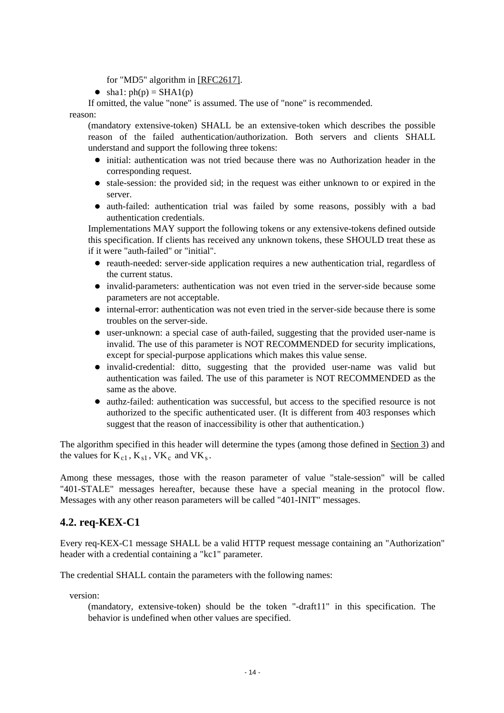for "MD5" algorithm in [\[RFC2617\].](#page-30-1)

 $\bullet$  sha1: ph(p) = SHA1(p)

If omitted, the value "none" is assumed. The use of "none" is recommended.

#### reason:

(mandatory extensive-token) SHALL be an extensive-token which describes the possible reason of the failed authentication/authorization. Both servers and clients SHALL understand and support the following three tokens:

- initial: authentication was not tried because there was no Authorization header in the corresponding request.
- $\bullet$  stale-session: the provided sid; in the request was either unknown to or expired in the server.
- auth-failed: authentication trial was failed by some reasons, possibly with a bad authentication credentials.

Implementations MAY support the following tokens or any extensive-tokens defined outside this specification. If clients has received any unknown tokens, these SHOULD treat these as if it were "auth-failed" or "initial".

- reauth-needed: server-side application requires a new authentication trial, regardless of the current status.
- invalid-parameters: authentication was not even tried in the server-side because some parameters are not acceptable.
- internal-error: authentication was not even tried in the server-side because there is some troubles on the server-side.
- user-unknown: a special case of auth-failed, suggesting that the provided user-name is invalid. The use of this parameter is NOT RECOMMENDED for security implications, except for special-purpose applications which makes this value sense.
- invalid-credential: ditto, suggesting that the provided user-name was valid but authentication was failed. The use of this parameter is NOT RECOMMENDED as the same as the above.
- authz-failed: authentication was successful, but access to the specified resource is not authorized to the specific authenticated user. (It is different from 403 responses which suggest that the reason of inaccessibility is other that authentication.)

The algorithm specified in this header will determine the types (among those defined in [Section 3\)](#page-9-0) and the values for  $K_{c1}$ ,  $K_{s1}$ ,  $VK_c$  and  $VK_s$ .

Among these messages, those with the reason parameter of value "stale-session" will be called "401-STALE" messages hereafter, because these have a special meaning in the protocol flow. Messages with any other reason parameters will be called "401-INIT" messages.

#### <span id="page-13-0"></span>**4.2. req-KEX-C1**

Every req-KEX-C1 message SHALL be a valid HTTP request message containing an "Authorization" header with a credential containing a "kc1" parameter.

The credential SHALL contain the parameters with the following names:

version:

(mandatory, extensive-token) should be the token "-draft11" in this specification. The behavior is undefined when other values are specified.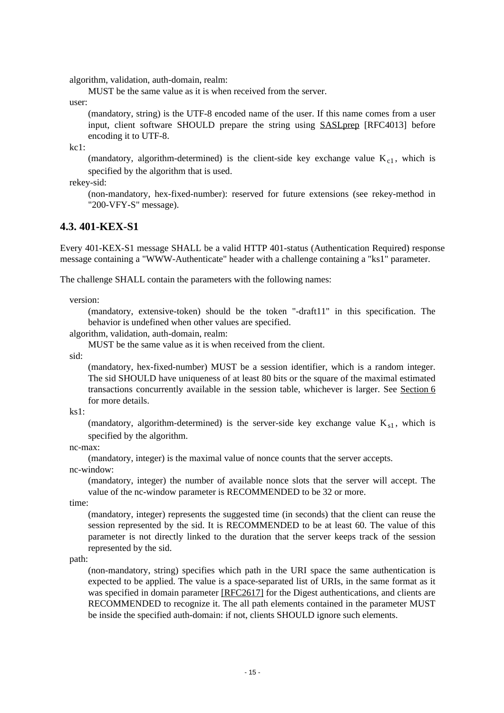algorithm, validation, auth-domain, realm:

MUST be the same value as it is when received from the server.

user:

(mandatory, string) is the UTF-8 encoded name of the user. If this name comes from a user input, client software SHOULD prepare the string using [SASLprep](#page-29-2) [RFC4013] before encoding it to UTF-8.

kc1:

(mandatory, algorithm-determined) is the client-side key exchange value  $K_{c1}$ , which is specified by the algorithm that is used.

rekey-sid:

(non-mandatory, hex-fixed-number): reserved for future extensions (see rekey-method in "200-VFY-S" message).

#### <span id="page-14-0"></span>**4.3. 401-KEX-S1**

Every 401-KEX-S1 message SHALL be a valid HTTP 401-status (Authentication Required) response message containing a "WWW-Authenticate" header with a challenge containing a "ks1" parameter.

The challenge SHALL contain the parameters with the following names:

version:

(mandatory, extensive-token) should be the token "-draft11" in this specification. The behavior is undefined when other values are specified.

algorithm, validation, auth-domain, realm:

MUST be the same value as it is when received from the client.

sid:

(mandatory, hex-fixed-number) MUST be a session identifier, which is a random integer. The sid SHOULD have uniqueness of at least 80 bits or the square of the maximal estimated transactions concurrently available in the session table, whichever is larger. See [Section 6](#page-17-1) for more details.

ks1:

(mandatory, algorithm-determined) is the server-side key exchange value  $K_{s1}$ , which is specified by the algorithm.

nc-max:

(mandatory, integer) is the maximal value of nonce counts that the server accepts.

nc-window:

(mandatory, integer) the number of available nonce slots that the server will accept. The value of the nc-window parameter is RECOMMENDED to be 32 or more.

time:

(mandatory, integer) represents the suggested time (in seconds) that the client can reuse the session represented by the sid. It is RECOMMENDED to be at least 60. The value of this parameter is not directly linked to the duration that the server keeps track of the session represented by the sid.

path:

(non-mandatory, string) specifies which path in the URI space the same authentication is expected to be applied. The value is a space-separated list of URIs, in the same format as it was specified in domain parameter [\[RFC2617\]](#page-30-1) for the Digest authentications, and clients are RECOMMENDED to recognize it. The all path elements contained in the parameter MUST be inside the specified auth-domain: if not, clients SHOULD ignore such elements.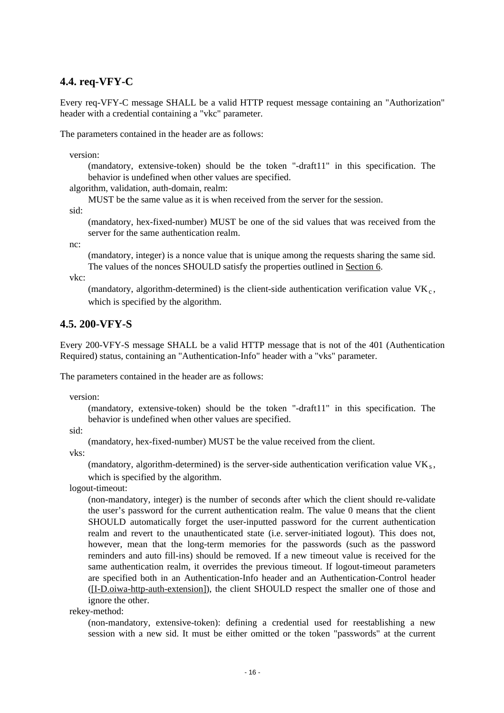#### <span id="page-15-0"></span>**4.4. req-VFY-C**

Every req-VFY-C message SHALL be a valid HTTP request message containing an "Authorization" header with a credential containing a "vkc" parameter.

The parameters contained in the header are as follows:

version:

(mandatory, extensive-token) should be the token "-draft11" in this specification. The behavior is undefined when other values are specified.

algorithm, validation, auth-domain, realm:

MUST be the same value as it is when received from the server for the session.

sid:

(mandatory, hex-fixed-number) MUST be one of the sid values that was received from the server for the same authentication realm.

nc:

(mandatory, integer) is a nonce value that is unique among the requests sharing the same sid. The values of the nonces SHOULD satisfy the properties outlined in [Section 6.](#page-17-1)

vkc:

(mandatory, algorithm-determined) is the client-side authentication verification value  $VK<sub>c</sub>$ , which is specified by the algorithm.

#### <span id="page-15-1"></span>**4.5. 200-VFY-S**

Every 200-VFY-S message SHALL be a valid HTTP message that is not of the 401 (Authentication Required) status, containing an "Authentication-Info" header with a "vks" parameter.

The parameters contained in the header are as follows:

version:

(mandatory, extensive-token) should be the token "-draft11" in this specification. The behavior is undefined when other values are specified.

sid:

(mandatory, hex-fixed-number) MUST be the value received from the client.

vks:

(mandatory, algorithm-determined) is the server-side authentication verification value  $VK_s$ , which is specified by the algorithm.

logout-timeout:

(non-mandatory, integer) is the number of seconds after which the client should re-validate the user's password for the current authentication realm. The value 0 means that the client SHOULD automatically forget the user-inputted password for the current authentication realm and revert to the unauthenticated state (i.e. server-initiated logout). This does not, however, mean that the long-term memories for the passwords (such as the password reminders and auto fill-ins) should be removed. If a new timeout value is received for the same authentication realm, it overrides the previous timeout. If logout-timeout parameters are specified both in an Authentication-Info header and an Authentication-Control header [\(\[I-D.oiwa-http-auth-extension\]\)](#page-29-2), the client SHOULD respect the smaller one of those and ignore the other.

rekey-method:

(non-mandatory, extensive-token): defining a credential used for reestablishing a new session with a new sid. It must be either omitted or the token "passwords" at the current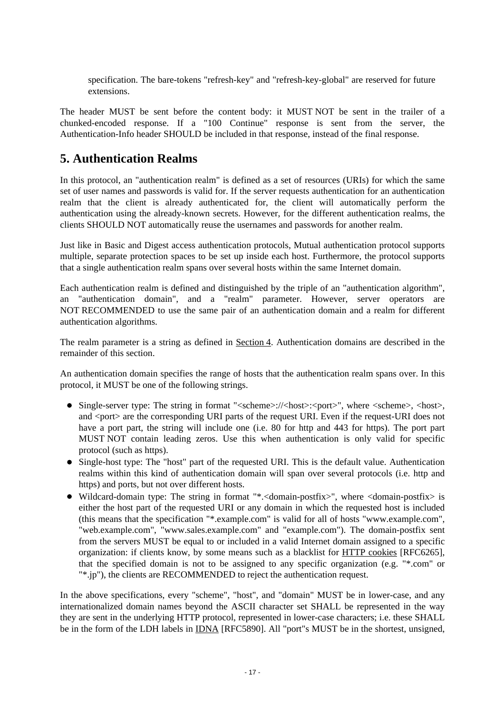specification. The bare-tokens "refresh-key" and "refresh-key-global" are reserved for future extensions.

The header MUST be sent before the content body: it MUST NOT be sent in the trailer of a chunked-encoded response. If a "100 Continue" response is sent from the server, the Authentication-Info header SHOULD be included in that response, instead of the final response.

### <span id="page-16-0"></span>**5. Authentication Realms**

In this protocol, an "authentication realm" is defined as a set of resources (URIs) for which the same set of user names and passwords is valid for. If the server requests authentication for an authentication realm that the client is already authenticated for, the client will automatically perform the authentication using the already-known secrets. However, for the different authentication realms, the clients SHOULD NOT automatically reuse the usernames and passwords for another realm.

Just like in Basic and Digest access authentication protocols, Mutual authentication protocol supports multiple, separate protection spaces to be set up inside each host. Furthermore, the protocol supports that a single authentication realm spans over several hosts within the same Internet domain.

Each authentication realm is defined and distinguished by the triple of an "authentication algorithm", an "authentication domain", and a "realm" parameter. However, server operators are NOT RECOMMENDED to use the same pair of an authentication domain and a realm for different authentication algorithms.

The realm parameter is a string as defined in [Section 4.](#page-11-1) Authentication domains are described in the remainder of this section.

An authentication domain specifies the range of hosts that the authentication realm spans over. In this protocol, it MUST be one of the following strings.

- $\bullet$  Single-server type: The string in format " $\leq$ scheme $>$ :// $\leq$ host $>$ : $\leq$ port $>$ ", where  $\leq$ scheme $>$ .  $\leq$ host $\geq$ . and <port> are the corresponding URI parts of the request URI. Even if the request-URI does not have a port part, the string will include one (i.e. 80 for http and 443 for https). The port part MUST NOT contain leading zeros. Use this when authentication is only valid for specific protocol (such as https).
- Single-host type: The "host" part of the requested URI. This is the default value. Authentication realms within this kind of authentication domain will span over several protocols (i.e. http and https) and ports, but not over different hosts.
- Wildcard-domain type: The string in format "\*.<domain-postfix>", where <domain-postfix> is either the host part of the requested URI or any domain in which the requested host is included (this means that the specification "\*.example.com" is valid for all of hosts "www.example.com", "web.example.com", "www.sales.example.com" and "example.com"). The domain-postfix sent from the servers MUST be equal to or included in a valid Internet domain assigned to a specific organization: if clients know, by some means such as a blacklist for [HTTP cookies](#page-31-4) [RFC6265], that the specified domain is not to be assigned to any specific organization (e.g. "\*.com" or "\*.jp"), the clients are RECOMMENDED to reject the authentication request.

In the above specifications, every "scheme", "host", and "domain" MUST be in lower-case, and any internationalized domain names beyond the ASCII character set SHALL be represented in the way they are sent in the underlying HTTP protocol, represented in lower-case characters; i.e. these SHALL be in the form of the LDH labels in [IDNA](#page-31-4) [RFC5890]. All "port"s MUST be in the shortest, unsigned,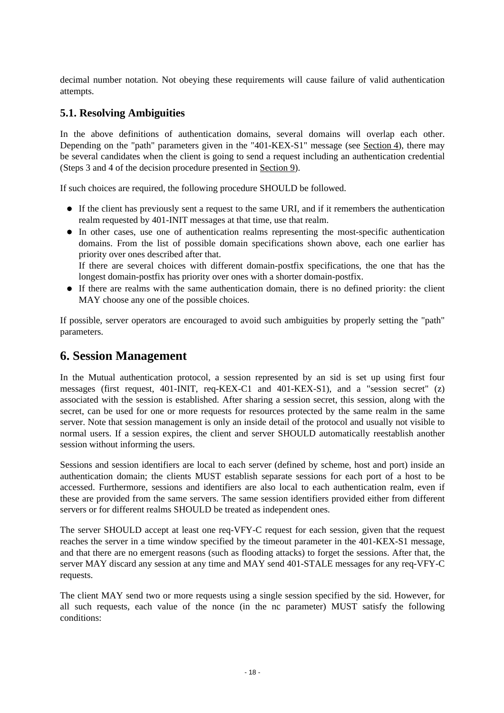decimal number notation. Not obeying these requirements will cause failure of valid authentication attempts.

#### <span id="page-17-0"></span>**5.1. Resolving Ambiguities**

In the above definitions of authentication domains, several domains will overlap each other. Depending on the "path" parameters given in the "401-KEX-S1" message (see [Section 4\)](#page-11-1), there may be several candidates when the client is going to send a request including an authentication credential (Steps 3 and 4 of the decision procedure presented in [Section 9\)](#page-20-0).

If such choices are required, the following procedure SHOULD be followed.

- If the client has previously sent a request to the same URI, and if it remembers the authentication realm requested by 401-INIT messages at that time, use that realm.
- In other cases, use one of authentication realms representing the most-specific authentication domains. From the list of possible domain specifications shown above, each one earlier has priority over ones described after that.

If there are several choices with different domain-postfix specifications, the one that has the longest domain-postfix has priority over ones with a shorter domain-postfix.

If there are realms with the same authentication domain, there is no defined priority: the client MAY choose any one of the possible choices.

If possible, server operators are encouraged to avoid such ambiguities by properly setting the "path" parameters.

### <span id="page-17-1"></span>**6. Session Management**

In the Mutual authentication protocol, a session represented by an sid is set up using first four messages (first request, 401-INIT, req-KEX-C1 and 401-KEX-S1), and a "session secret" (z) associated with the session is established. After sharing a session secret, this session, along with the secret, can be used for one or more requests for resources protected by the same realm in the same server. Note that session management is only an inside detail of the protocol and usually not visible to normal users. If a session expires, the client and server SHOULD automatically reestablish another session without informing the users.

Sessions and session identifiers are local to each server (defined by scheme, host and port) inside an authentication domain; the clients MUST establish separate sessions for each port of a host to be accessed. Furthermore, sessions and identifiers are also local to each authentication realm, even if these are provided from the same servers. The same session identifiers provided either from different servers or for different realms SHOULD be treated as independent ones.

The server SHOULD accept at least one req-VFY-C request for each session, given that the request reaches the server in a time window specified by the timeout parameter in the 401-KEX-S1 message, and that there are no emergent reasons (such as flooding attacks) to forget the sessions. After that, the server MAY discard any session at any time and MAY send 401-STALE messages for any req-VFY-C requests.

The client MAY send two or more requests using a single session specified by the sid. However, for all such requests, each value of the nonce (in the nc parameter) MUST satisfy the following conditions: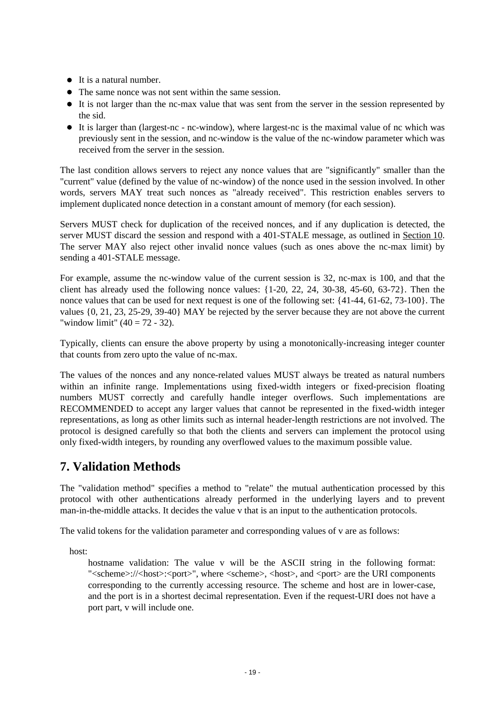- It is a natural number.
- The same nonce was not sent within the same session.
- It is not larger than the nc-max value that was sent from the server in the session represented by the sid.
- It is larger than (largest-nc nc-window), where largest-nc is the maximal value of nc which was previously sent in the session, and nc-window is the value of the nc-window parameter which was received from the server in the session.

The last condition allows servers to reject any nonce values that are "significantly" smaller than the "current" value (defined by the value of nc-window) of the nonce used in the session involved. In other words, servers MAY treat such nonces as "already received". This restriction enables servers to implement duplicated nonce detection in a constant amount of memory (for each session).

Servers MUST check for duplication of the received nonces, and if any duplication is detected, the server MUST discard the session and respond with a 401-STALE message, as outlined in [Section 10.](#page-22-0) The server MAY also reject other invalid nonce values (such as ones above the nc-max limit) by sending a 401-STALE message.

For example, assume the nc-window value of the current session is 32, nc-max is 100, and that the client has already used the following nonce values:  $\{1-20, 22, 24, 30-38, 45-60, 63-72\}$ . Then the nonce values that can be used for next request is one of the following set: {41-44, 61-62, 73-100}. The values {0, 21, 23, 25-29, 39-40} MAY be rejected by the server because they are not above the current "window limit"  $(40 = 72 - 32)$ .

Typically, clients can ensure the above property by using a monotonically-increasing integer counter that counts from zero upto the value of nc-max.

The values of the nonces and any nonce-related values MUST always be treated as natural numbers within an infinite range. Implementations using fixed-width integers or fixed-precision floating numbers MUST correctly and carefully handle integer overflows. Such implementations are RECOMMENDED to accept any larger values that cannot be represented in the fixed-width integer representations, as long as other limits such as internal header-length restrictions are not involved. The protocol is designed carefully so that both the clients and servers can implement the protocol using only fixed-width integers, by rounding any overflowed values to the maximum possible value.

## <span id="page-18-0"></span>**7. Validation Methods**

The "validation method" specifies a method to "relate" the mutual authentication processed by this protocol with other authentications already performed in the underlying layers and to prevent man-in-the-middle attacks. It decides the value v that is an input to the authentication protocols.

The valid tokens for the validation parameter and corresponding values of v are as follows:

host:

hostname validation: The value v will be the ASCII string in the following format: "<scheme>://<host>:<port>", where <scheme>, <host>, and <port> are the URI components corresponding to the currently accessing resource. The scheme and host are in lower-case, and the port is in a shortest decimal representation. Even if the request-URI does not have a port part, v will include one.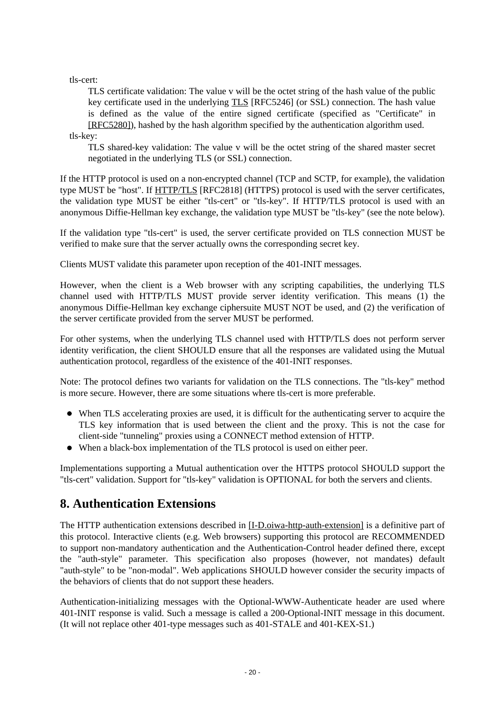tls-cert:

TLS certificate validation: The value v will be the octet string of the hash value of the public key certificate used in the underlying [TLS](#page-29-2) [RFC5246] (or SSL) connection. The hash value is defined as the value of the entire signed certificate (specified as "Certificate" in [\[RFC5280\]\)](#page-31-4), hashed by the hash algorithm specified by the authentication algorithm used.

tls-key:

TLS shared-key validation: The value v will be the octet string of the shared master secret negotiated in the underlying TLS (or SSL) connection.

If the HTTP protocol is used on a non-encrypted channel (TCP and SCTP, for example), the validation type MUST be "host". If [HTTP/TLS](#page-30-1) [RFC2818] (HTTPS) protocol is used with the server certificates, the validation type MUST be either "tls-cert" or "tls-key". If HTTP/TLS protocol is used with an anonymous Diffie-Hellman key exchange, the validation type MUST be "tls-key" (see the note below).

If the validation type "tls-cert" is used, the server certificate provided on TLS connection MUST be verified to make sure that the server actually owns the corresponding secret key.

Clients MUST validate this parameter upon reception of the 401-INIT messages.

However, when the client is a Web browser with any scripting capabilities, the underlying TLS channel used with HTTP/TLS MUST provide server identity verification. This means (1) the anonymous Diffie-Hellman key exchange ciphersuite MUST NOT be used, and (2) the verification of the server certificate provided from the server MUST be performed.

For other systems, when the underlying TLS channel used with HTTP/TLS does not perform server identity verification, the client SHOULD ensure that all the responses are validated using the Mutual authentication protocol, regardless of the existence of the 401-INIT responses.

Note: The protocol defines two variants for validation on the TLS connections. The "tls-key" method is more secure. However, there are some situations where tls-cert is more preferable.

- When TLS accelerating proxies are used, it is difficult for the authenticating server to acquire the TLS key information that is used between the client and the proxy. This is not the case for client-side "tunneling" proxies using a CONNECT method extension of HTTP.
- When a black-box implementation of the TLS protocol is used on either peer.

Implementations supporting a Mutual authentication over the HTTPS protocol SHOULD support the "tls-cert" validation. Support for "tls-key" validation is OPTIONAL for both the servers and clients.

### <span id="page-19-0"></span>**8. Authentication Extensions**

The HTTP authentication extensions described in [\[I-D.oiwa-http-auth-extension\]](#page-29-2) is a definitive part of this protocol. Interactive clients (e.g. Web browsers) supporting this protocol are RECOMMENDED to support non-mandatory authentication and the Authentication-Control header defined there, except the "auth-style" parameter. This specification also proposes (however, not mandates) default "auth-style" to be "non-modal". Web applications SHOULD however consider the security impacts of the behaviors of clients that do not support these headers.

Authentication-initializing messages with the Optional-WWW-Authenticate header are used where 401-INIT response is valid. Such a message is called a 200-Optional-INIT message in this document. (It will not replace other 401-type messages such as 401-STALE and 401-KEX-S1.)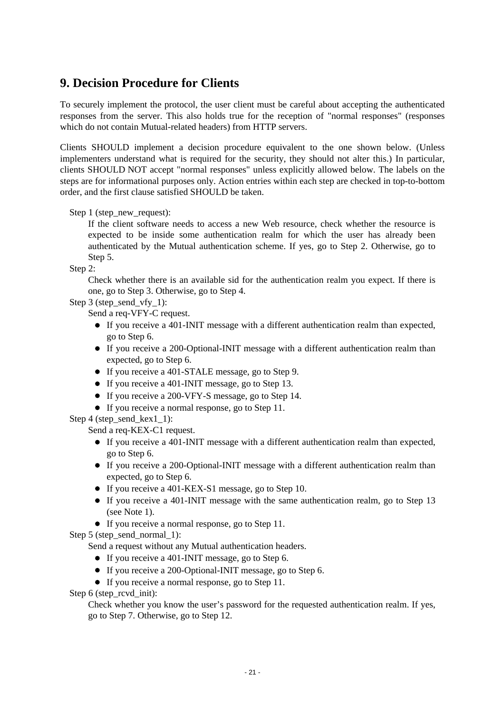## <span id="page-20-0"></span>**9. Decision Procedure for Clients**

To securely implement the protocol, the user client must be careful about accepting the authenticated responses from the server. This also holds true for the reception of "normal responses" (responses which do not contain Mutual-related headers) from HTTP servers.

Clients SHOULD implement a decision procedure equivalent to the one shown below. (Unless implementers understand what is required for the security, they should not alter this.) In particular, clients SHOULD NOT accept "normal responses" unless explicitly allowed below. The labels on the steps are for informational purposes only. Action entries within each step are checked in top-to-bottom order, and the first clause satisfied SHOULD be taken.

Step 1 (step\_new\_request):

If the client software needs to access a new Web resource, check whether the resource is expected to be inside some authentication realm for which the user has already been authenticated by the Mutual authentication scheme. If yes, go to Step 2. Otherwise, go to Step 5.

Step 2:

Check whether there is an available sid for the authentication realm you expect. If there is one, go to Step 3. Otherwise, go to Step 4.

Step 3 (step\_send\_vfy\_1):

Send a req-VFY-C request.

- If you receive a 401-INIT message with a different authentication realm than expected, go to Step 6.
- If you receive a 200-Optional-INIT message with a different authentication realm than expected, go to Step 6.
- If you receive a 401-STALE message, go to Step 9.
- If you receive a 401-INIT message, go to Step 13.
- If you receive a 200-VFY-S message, go to Step 14.
- If you receive a normal response, go to Step 11.

Step 4 (step\_send\_kex1\_1):

Send a req-KEX-C1 request.

- $\bullet$  If you receive a 401-INIT message with a different authentication realm than expected, go to Step 6.
- If you receive a 200-Optional-INIT message with a different authentication realm than expected, go to Step 6.
- If you receive a 401-KEX-S1 message, go to Step 10.
- $\bullet$  If you receive a 401-INIT message with the same authentication realm, go to Step 13 (see Note 1).
- If you receive a normal response, go to Step 11.

Step 5 (step\_send\_normal\_1):

Send a request without any Mutual authentication headers.

- If you receive a 401-INIT message, go to Step 6.
- If you receive a 200-Optional-INIT message, go to Step 6.
- If you receive a normal response, go to Step 11.

Step 6 (step\_rcvd\_init):

Check whether you know the user's password for the requested authentication realm. If yes, go to Step 7. Otherwise, go to Step 12.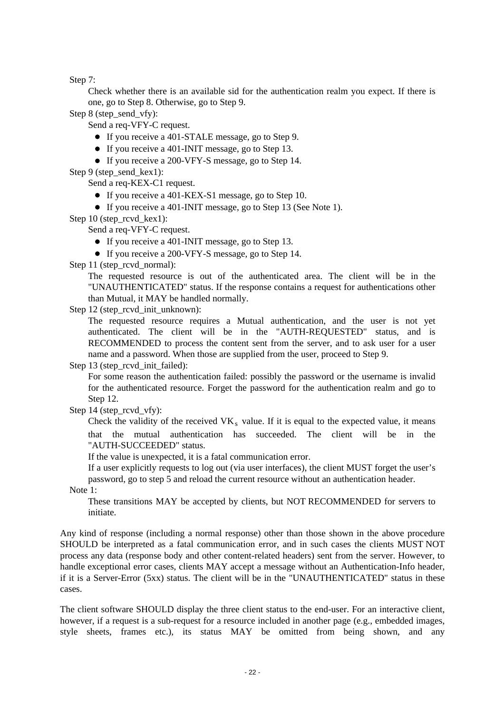Step 7:

Check whether there is an available sid for the authentication realm you expect. If there is one, go to Step 8. Otherwise, go to Step 9.

Step 8 (step send vfy):

Send a req-VFY-C request.

- If you receive a 401-STALE message, go to Step 9.
- If you receive a 401-INIT message, go to Step 13.
- If you receive a 200-VFY-S message, go to Step 14.

Step 9 (step\_send\_kex1):

Send a req-KEX-C1 request.

- If you receive a 401-KEX-S1 message, go to Step 10.
- If you receive a 401-INIT message, go to Step 13 (See Note 1).

Step 10 (step\_rcvd\_kex1):

Send a req-VFY-C request.

- If you receive a 401-INIT message, go to Step 13.
- If you receive a 200-VFY-S message, go to Step 14.

Step 11 (step\_rcvd\_normal):

The requested resource is out of the authenticated area. The client will be in the "UNAUTHENTICATED" status. If the response contains a request for authentications other than Mutual, it MAY be handled normally.

Step 12 (step\_rcvd\_init\_unknown):

The requested resource requires a Mutual authentication, and the user is not yet authenticated. The client will be in the "AUTH-REQUESTED" status, and is RECOMMENDED to process the content sent from the server, and to ask user for a user name and a password. When those are supplied from the user, proceed to Step 9.

Step 13 (step\_rcvd\_init\_failed):

For some reason the authentication failed: possibly the password or the username is invalid for the authenticated resource. Forget the password for the authentication realm and go to Step 12.

Step 14 (step\_rcvd\_vfy):

Check the validity of the received  $VK_s$  value. If it is equal to the expected value, it means that the mutual authentication has succeeded. The client will be in the "AUTH-SUCCEEDED" status.

If the value is unexpected, it is a fatal communication error.

If a user explicitly requests to log out (via user interfaces), the client MUST forget the user's password, go to step 5 and reload the current resource without an authentication header.

Note 1:

These transitions MAY be accepted by clients, but NOT RECOMMENDED for servers to initiate.

Any kind of response (including a normal response) other than those shown in the above procedure SHOULD be interpreted as a fatal communication error, and in such cases the clients MUST NOT process any data (response body and other content-related headers) sent from the server. However, to handle exceptional error cases, clients MAY accept a message without an Authentication-Info header, if it is a Server-Error (5xx) status. The client will be in the "UNAUTHENTICATED" status in these cases.

The client software SHOULD display the three client status to the end-user. For an interactive client, however, if a request is a sub-request for a resource included in another page (e.g., embedded images, style sheets, frames etc.), its status MAY be omitted from being shown, and any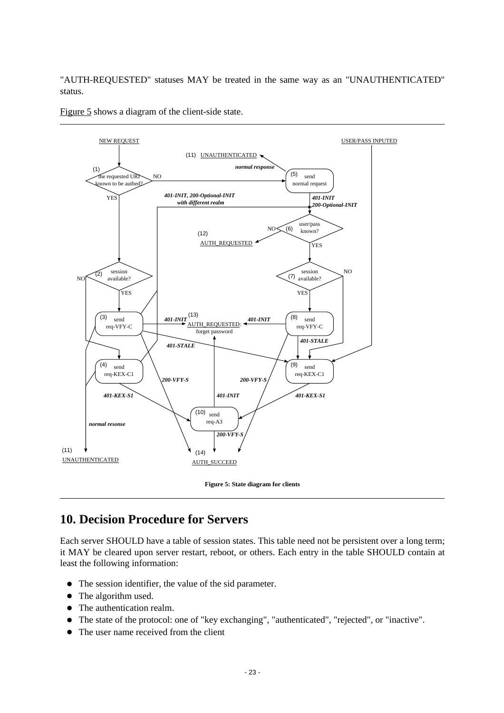"AUTH-REQUESTED" statuses MAY be treated in the same way as an "UNAUTHENTICATED" status.

[Figure 5](#page-22-1) shows a diagram of the client-side state.

<span id="page-22-1"></span>



## <span id="page-22-0"></span>**10. Decision Procedure for Servers**

Each server SHOULD have a table of session states. This table need not be persistent over a long term; it MAY be cleared upon server restart, reboot, or others. Each entry in the table SHOULD contain at least the following information:

- The session identifier, the value of the sid parameter.
- The algorithm used.
- The authentication realm.
- The state of the protocol: one of "key exchanging", "authenticated", "rejected", or "inactive".
- The user name received from the client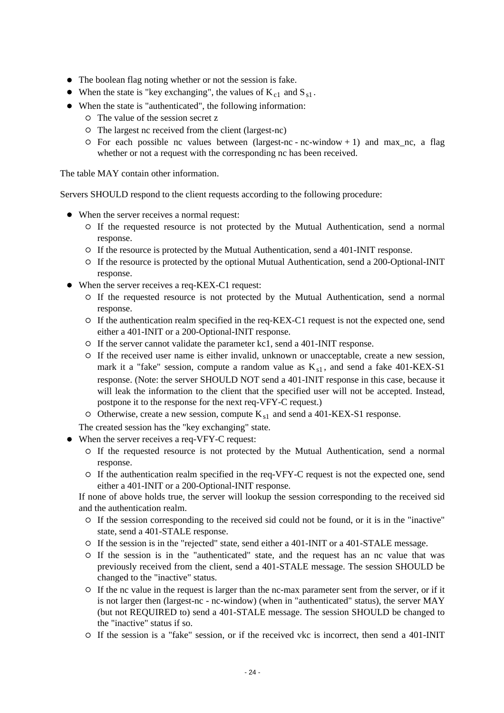- The boolean flag noting whether or not the session is fake.
- When the state is "key exchanging", the values of  $K_{c1}$  and  $S_{s1}$ .
- When the state is "authenticated", the following information:
	- The value of the session secret z
	- $\circ$  The largest nc received from the client (largest-nc)
	- $\circ$  For each possible nc values between (largest-nc nc-window + 1) and max\_nc, a flag whether or not a request with the corresponding nc has been received.

The table MAY contain other information.

Servers SHOULD respond to the client requests according to the following procedure:

- When the server receives a normal request:
	- If the requested resource is not protected by the Mutual Authentication, send a normal response.
	- If the resource is protected by the Mutual Authentication, send a 401-INIT response.
	- If the resource is protected by the optional Mutual Authentication, send a 200-Optional-INIT response.
- When the server receives a req-KEX-C1 request:
	- If the requested resource is not protected by the Mutual Authentication, send a normal response.
	- $\circ$  If the authentication realm specified in the req-KEX-C1 request is not the expected one, send either a 401-INIT or a 200-Optional-INIT response.
	- $\circ$  If the server cannot validate the parameter kc1, send a 401-INIT response.
	- If the received user name is either invalid, unknown or unacceptable, create a new session, mark it a "fake" session, compute a random value as  $K_{s1}$ , and send a fake 401-KEX-S1 response. (Note: the server SHOULD NOT send a 401-INIT response in this case, because it will leak the information to the client that the specified user will not be accepted. Instead, postpone it to the response for the next req-VFY-C request.)
	- $\circ$  Otherwise, create a new session, compute  $K_{s1}$  and send a 401-KEX-S1 response.
	- The created session has the "key exchanging" state.
- When the server receives a req-VFY-C request:
	- If the requested resource is not protected by the Mutual Authentication, send a normal response.
	- If the authentication realm specified in the req-VFY-C request is not the expected one, send either a 401-INIT or a 200-Optional-INIT response.

If none of above holds true, the server will lookup the session corresponding to the received sid and the authentication realm.

- If the session corresponding to the received sid could not be found, or it is in the "inactive" state, send a 401-STALE response.
- If the session is in the "rejected" state, send either a 401-INIT or a 401-STALE message.
- If the session is in the "authenticated" state, and the request has an nc value that was previously received from the client, send a 401-STALE message. The session SHOULD be changed to the "inactive" status.
- If the nc value in the request is larger than the nc-max parameter sent from the server, or if it is not larger then (largest-nc - nc-window) (when in "authenticated" status), the server MAY (but not REQUIRED to) send a 401-STALE message. The session SHOULD be changed to the "inactive" status if so.
- $\circ$  If the session is a "fake" session, or if the received vkc is incorrect, then send a 401-INIT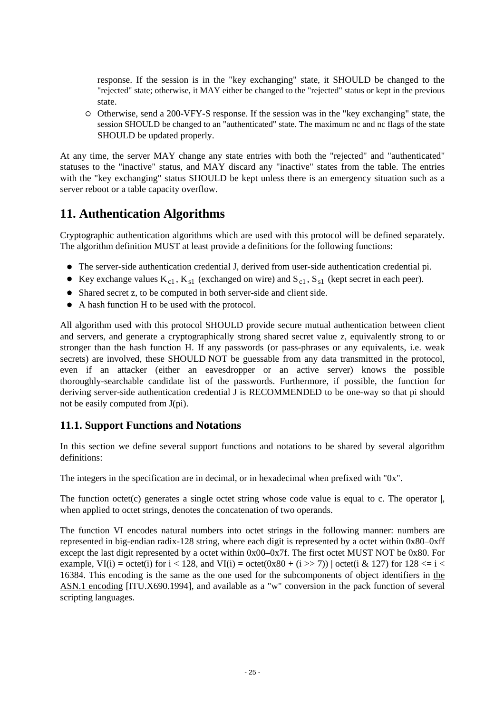response. If the session is in the "key exchanging" state, it SHOULD be changed to the "rejected" state; otherwise, it MAY either be changed to the "rejected" status or kept in the previous state.

 $\circ$  Otherwise, send a 200-VFY-S response. If the session was in the "key exchanging" state, the session SHOULD be changed to an "authenticated" state. The maximum nc and nc flags of the state SHOULD be updated properly.

At any time, the server MAY change any state entries with both the "rejected" and "authenticated" statuses to the "inactive" status, and MAY discard any "inactive" states from the table. The entries with the "key exchanging" status SHOULD be kept unless there is an emergency situation such as a server reboot or a table capacity overflow.

### <span id="page-24-0"></span>**11. Authentication Algorithms**

Cryptographic authentication algorithms which are used with this protocol will be defined separately. The algorithm definition MUST at least provide a definitions for the following functions:

- The server-side authentication credential J, derived from user-side authentication credential pi.
- Example values  $K_{c1}$ ,  $K_{s1}$  (exchanged on wire) and  $S_{c1}$ ,  $S_{s1}$  (kept secret in each peer).
- Shared secret z, to be computed in both server-side and client side.
- A hash function H to be used with the protocol.

All algorithm used with this protocol SHOULD provide secure mutual authentication between client and servers, and generate a cryptographically strong shared secret value z, equivalently strong to or stronger than the hash function H. If any passwords (or pass-phrases or any equivalents, i.e. weak secrets) are involved, these SHOULD NOT be guessable from any data transmitted in the protocol, even if an attacker (either an eavesdropper or an active server) knows the possible thoroughly-searchable candidate list of the passwords. Furthermore, if possible, the function for deriving server-side authentication credential J is RECOMMENDED to be one-way so that pi should not be easily computed from J(pi).

#### <span id="page-24-1"></span>**11.1. Support Functions and Notations**

In this section we define several support functions and notations to be shared by several algorithm definitions:

The integers in the specification are in decimal, or in hexadecimal when prefixed with "0x".

The function octet(c) generates a single octet string whose code value is equal to c. The operator  $\vert$ . when applied to octet strings, denotes the concatenation of two operands.

The function VI encodes natural numbers into octet strings in the following manner: numbers are represented in big-endian radix-128 string, where each digit is represented by a octet within 0x80–0xff except the last digit represented by a octet within 0x00–0x7f. The first octet MUST NOT be 0x80. For example, VI(i) = octet(i) for  $i < 128$ , and VI(i) = octet(0x80 + (i >> 7)) | octet(i & 127) for 128  $\le i <$ 16384. This encoding is the same as the one used for the subcomponents of object identifiers in [the](#page-30-1) [ASN.1 encoding](#page-30-1) [ITU.X690.1994], and available as a "w" conversion in the pack function of several scripting languages.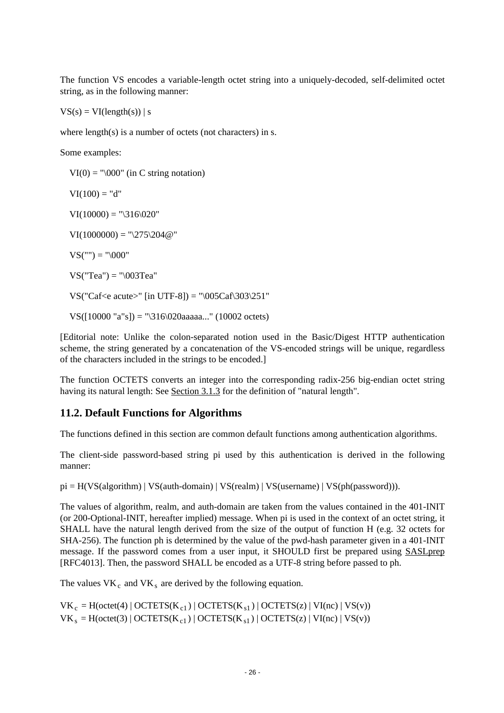The function VS encodes a variable-length octet string into a uniquely-decoded, self-delimited octet string, as in the following manner:

 $VS(s) = VI(length(s)) | s$ 

where  $length(s)$  is a number of octets (not characters) in s.

Some examples:

 $VI(0) = \sqrt[10000]$  (in C string notation)  $VI(100) = "d"$  $VI(10000) = "\316\,020"$  $VI(1000000) = "275204@"$  $VS("") = "\000"$  $VS("Tea") = "\003Tea"$ VS("Caf<e acute>" [in UTF-8]) = " $0.05Caf303251$ "

VS([10000 "a"s]) = "\316\020aaaaa..." (10002 octets)

[Editorial note: Unlike the colon-separated notion used in the Basic/Digest HTTP authentication scheme, the string generated by a concatenation of the VS-encoded strings will be unique, regardless of the characters included in the strings to be encoded.]

The function OCTETS converts an integer into the corresponding radix-256 big-endian octet string having its natural length: See [Section 3.1.3](#page-11-0) for the definition of "natural length".

#### <span id="page-25-0"></span>**11.2. Default Functions for Algorithms**

The functions defined in this section are common default functions among authentication algorithms.

The client-side password-based string pi used by this authentication is derived in the following manner:

 $pi = H(VS(algorithm) | VS(auth-domain) | VS(realm) | VS(usename) | VS(ph(password))).$ 

The values of algorithm, realm, and auth-domain are taken from the values contained in the 401-INIT (or 200-Optional-INIT, hereafter implied) message. When pi is used in the context of an octet string, it SHALL have the natural length derived from the size of the output of function H (e.g. 32 octets for SHA-256). The function ph is determined by the value of the pwd-hash parameter given in a 401-INIT message. If the password comes from a user input, it SHOULD first be prepared using [SASLprep](#page-29-2) [RFC4013]. Then, the password SHALL be encoded as a UTF-8 string before passed to ph.

The values  $VK_c$  and  $VK_s$  are derived by the following equation.

 $VK_c = H(octet(4) | OCTETS(K_{c1}) | OCTETS(K_{s1}) | OCTETS(z) | VI(nc) | VS(v))$  $VK_s = H(octet(3) | OCTETS(K_{c1}) | OCTETS(K_{s1}) | OCTETS(z) | VI(nc) | VS(v))$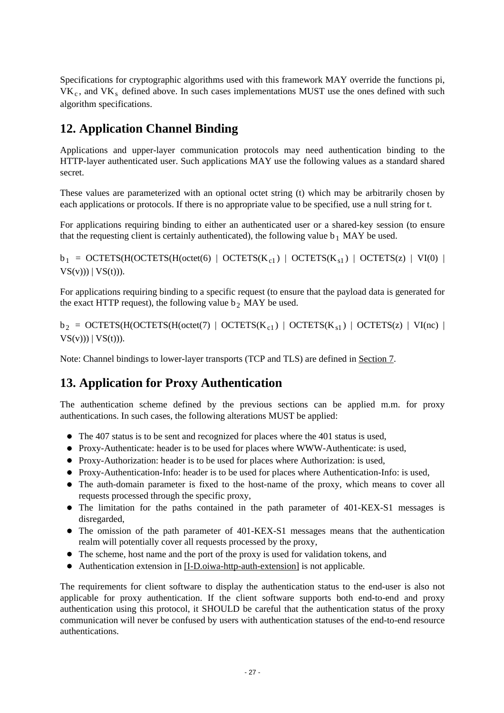Specifications for cryptographic algorithms used with this framework MAY override the functions pi,  $VK<sub>c</sub>$ , and  $VK<sub>s</sub>$  defined above. In such cases implementations MUST use the ones defined with such algorithm specifications.

## <span id="page-26-0"></span>**12. Application Channel Binding**

Applications and upper-layer communication protocols may need authentication binding to the HTTP-layer authenticated user. Such applications MAY use the following values as a standard shared secret.

These values are parameterized with an optional octet string (t) which may be arbitrarily chosen by each applications or protocols. If there is no appropriate value to be specified, use a null string for t.

For applications requiring binding to either an authenticated user or a shared-key session (to ensure that the requesting client is certainly authenticated), the following value  $b_1$  MAY be used.

 $b_1 =$  OCTETS(H(OCTETS(H(octet(6) | OCTETS(K<sub>c1</sub>) | OCTETS(K<sub>s1</sub>) | OCTETS(z) | VI(0) |  $VS(v))$  |  $VS(t)$ )).

For applications requiring binding to a specific request (to ensure that the payload data is generated for the exact HTTP request), the following value  $b_2$  MAY be used.

 $b_2 =$  OCTETS(H(OCTETS(H(octet(7) | OCTETS(K<sub>c1</sub>) | OCTETS(K<sub>s1</sub>) | OCTETS(z) | VI(nc) |  $VS(v))$  |  $VS(t)$ )).

Note: Channel bindings to lower-layer transports (TCP and TLS) are defined in [Section 7.](#page-18-0)

### <span id="page-26-1"></span>**13. Application for Proxy Authentication**

The authentication scheme defined by the previous sections can be applied m.m. for proxy authentications. In such cases, the following alterations MUST be applied:

- The 407 status is to be sent and recognized for places where the 401 status is used,
- Proxy-Authenticate: header is to be used for places where WWW-Authenticate: is used,
- Proxy-Authorization: header is to be used for places where Authorization: is used,
- Proxy-Authentication-Info: header is to be used for places where Authentication-Info: is used,
- The auth-domain parameter is fixed to the host-name of the proxy, which means to cover all requests processed through the specific proxy,
- The limitation for the paths contained in the path parameter of 401-KEX-S1 messages is disregarded,
- The omission of the path parameter of 401-KEX-S1 messages means that the authentication realm will potentially cover all requests processed by the proxy,
- The scheme, host name and the port of the proxy is used for validation tokens, and
- Authentication extension in [\[I-D.oiwa-http-auth-extension\]](#page-29-2) is not applicable.

The requirements for client software to display the authentication status to the end-user is also not applicable for proxy authentication. If the client software supports both end-to-end and proxy authentication using this protocol, it SHOULD be careful that the authentication status of the proxy communication will never be confused by users with authentication statuses of the end-to-end resource authentications.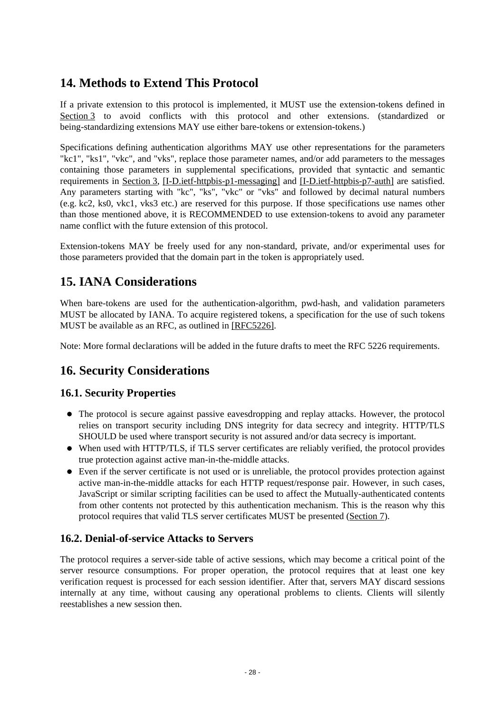## <span id="page-27-0"></span>**14. Methods to Extend This Protocol**

If a private extension to this protocol is implemented, it MUST use the extension-tokens defined in [Section 3](#page-9-0) to avoid conflicts with this protocol and other extensions. (standardized or being-standardizing extensions MAY use either bare-tokens or extension-tokens.)

Specifications defining authentication algorithms MAY use other representations for the parameters "kc1", "ks1", "vkc", and "vks", replace those parameter names, and/or add parameters to the messages containing those parameters in supplemental specifications, provided that syntactic and semantic requirements in [Section 3,](#page-9-0) [\[I-D.ietf-httpbis-p1-messaging\]](#page-29-2) and [\[I-D.ietf-httpbis-p7-auth\]](#page-29-2) are satisfied. Any parameters starting with "kc", "ks", "vkc" or "vks" and followed by decimal natural numbers (e.g. kc2, ks0, vkc1, vks3 etc.) are reserved for this purpose. If those specifications use names other than those mentioned above, it is RECOMMENDED to use extension-tokens to avoid any parameter name conflict with the future extension of this protocol.

Extension-tokens MAY be freely used for any non-standard, private, and/or experimental uses for those parameters provided that the domain part in the token is appropriately used.

## <span id="page-27-1"></span>**15. IANA Considerations**

When bare-tokens are used for the authentication-algorithm, pwd-hash, and validation parameters MUST be allocated by IANA. To acquire registered tokens, a specification for the use of such tokens MUST be available as an RFC, as outlined in [\[RFC5226\].](#page-31-4)

Note: More formal declarations will be added in the future drafts to meet the RFC 5226 requirements.

### <span id="page-27-2"></span>**16. Security Considerations**

#### <span id="page-27-3"></span>**16.1. Security Properties**

- The protocol is secure against passive eavesdropping and replay attacks. However, the protocol relies on transport security including DNS integrity for data secrecy and integrity. HTTP/TLS SHOULD be used where transport security is not assured and/or data secrecy is important.
- When used with HTTP/TLS, if TLS server certificates are reliably verified, the protocol provides true protection against active man-in-the-middle attacks.
- Even if the server certificate is not used or is unreliable, the protocol provides protection against active man-in-the-middle attacks for each HTTP request/response pair. However, in such cases, JavaScript or similar scripting facilities can be used to affect the Mutually-authenticated contents from other contents not protected by this authentication mechanism. This is the reason why this protocol requires that valid TLS server certificates MUST be presented [\(Section 7\)](#page-18-0).

#### <span id="page-27-4"></span>**16.2. Denial-of-service Attacks to Servers**

The protocol requires a server-side table of active sessions, which may become a critical point of the server resource consumptions. For proper operation, the protocol requires that at least one key verification request is processed for each session identifier. After that, servers MAY discard sessions internally at any time, without causing any operational problems to clients. Clients will silently reestablishes a new session then.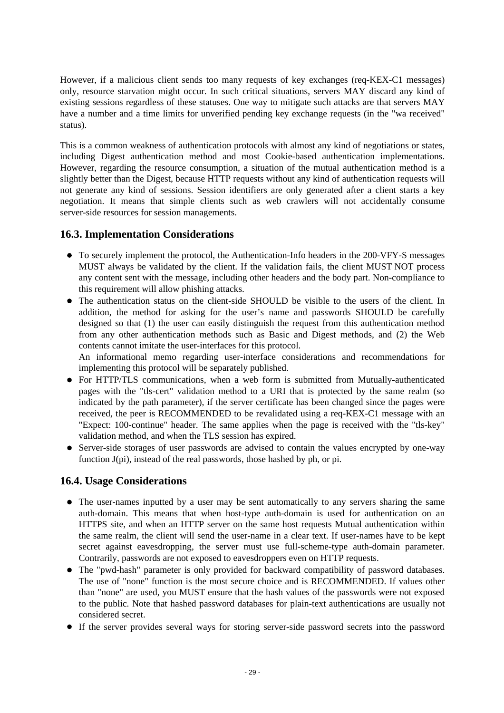However, if a malicious client sends too many requests of key exchanges (req-KEX-C1 messages) only, resource starvation might occur. In such critical situations, servers MAY discard any kind of existing sessions regardless of these statuses. One way to mitigate such attacks are that servers MAY have a number and a time limits for unverified pending key exchange requests (in the "wa received" status).

This is a common weakness of authentication protocols with almost any kind of negotiations or states, including Digest authentication method and most Cookie-based authentication implementations. However, regarding the resource consumption, a situation of the mutual authentication method is a slightly better than the Digest, because HTTP requests without any kind of authentication requests will not generate any kind of sessions. Session identifiers are only generated after a client starts a key negotiation. It means that simple clients such as web crawlers will not accidentally consume server-side resources for session managements.

#### <span id="page-28-0"></span>**16.3. Implementation Considerations**

- To securely implement the protocol, the Authentication-Info headers in the 200-VFY-S messages MUST always be validated by the client. If the validation fails, the client MUST NOT process any content sent with the message, including other headers and the body part. Non-compliance to this requirement will allow phishing attacks.
- The authentication status on the client-side SHOULD be visible to the users of the client. In addition, the method for asking for the user's name and passwords SHOULD be carefully designed so that (1) the user can easily distinguish the request from this authentication method from any other authentication methods such as Basic and Digest methods, and (2) the Web contents cannot imitate the user-interfaces for this protocol.

An informational memo regarding user-interface considerations and recommendations for implementing this protocol will be separately published.

- For HTTP/TLS communications, when a web form is submitted from Mutually-authenticated pages with the "tls-cert" validation method to a URI that is protected by the same realm (so indicated by the path parameter), if the server certificate has been changed since the pages were received, the peer is RECOMMENDED to be revalidated using a req-KEX-C1 message with an "Expect: 100-continue" header. The same applies when the page is received with the "tls-key" validation method, and when the TLS session has expired.
- Server-side storages of user passwords are advised to contain the values encrypted by one-way function J(pi), instead of the real passwords, those hashed by ph, or pi.

#### <span id="page-28-1"></span>**16.4. Usage Considerations**

- The user-names inputted by a user may be sent automatically to any servers sharing the same auth-domain. This means that when host-type auth-domain is used for authentication on an HTTPS site, and when an HTTP server on the same host requests Mutual authentication within the same realm, the client will send the user-name in a clear text. If user-names have to be kept secret against eavesdropping, the server must use full-scheme-type auth-domain parameter. Contrarily, passwords are not exposed to eavesdroppers even on HTTP requests.
- The "pwd-hash" parameter is only provided for backward compatibility of password databases. The use of "none" function is the most secure choice and is RECOMMENDED. If values other than "none" are used, you MUST ensure that the hash values of the passwords were not exposed to the public. Note that hashed password databases for plain-text authentications are usually not considered secret.
- If the server provides several ways for storing server-side password secrets into the password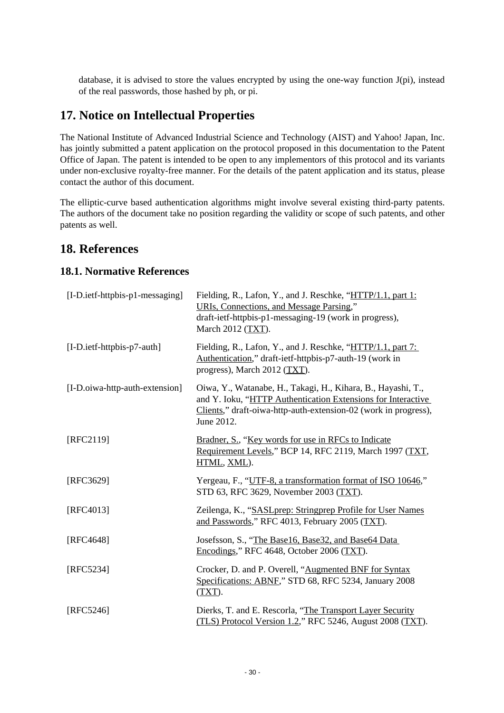<span id="page-29-2"></span>database, it is advised to store the values encrypted by using the one-way function J(pi), instead of the real passwords, those hashed by ph, or pi.

### <span id="page-29-0"></span>**17. Notice on Intellectual Properties**

The National Institute of Advanced Industrial Science and Technology (AIST) and Yahoo! Japan, Inc. has jointly submitted a patent application on the protocol proposed in this documentation to the Patent Office of Japan. The patent is intended to be open to any implementors of this protocol and its variants under non-exclusive royalty-free manner. For the details of the patent application and its status, please contact the author of this document.

The elliptic-curve based authentication algorithms might involve several existing third-party patents. The authors of the document take no position regarding the validity or scope of such patents, and other patents as well.

### **18. References**

#### <span id="page-29-1"></span>**18.1. Normative References**

| [I-D.ietf-httpbis-p1-messaging] | Fielding, R., Lafon, Y., and J. Reschke, "HTTP/1.1, part 1:<br>URIs, Connections, and Message Parsing,"<br>draft-ietf-httpbis-p1-messaging-19 (work in progress),<br>March 2012 (TXT).                        |
|---------------------------------|---------------------------------------------------------------------------------------------------------------------------------------------------------------------------------------------------------------|
| [I-D.ietf-httpbis-p7-auth]      | Fielding, R., Lafon, Y., and J. Reschke, "HTTP/1.1, part 7:<br>Authentication," draft-ietf-httpbis-p7-auth-19 (work in<br>progress), March 2012 (TXT).                                                        |
| [I-D.oiwa-http-auth-extension]  | Oiwa, Y., Watanabe, H., Takagi, H., Kihara, B., Hayashi, T.,<br>and Y. Ioku, "HTTP Authentication Extensions for Interactive<br>Clients," draft-oiwa-http-auth-extension-02 (work in progress),<br>June 2012. |
| [RFC2119]                       | Bradner, S., "Key words for use in RFCs to Indicate<br>Requirement Levels," BCP 14, RFC 2119, March 1997 (TXT,<br>HTML, XML).                                                                                 |
| [RFC3629]                       | Yergeau, F., "UTF-8, a transformation format of ISO 10646,"<br>STD 63, RFC 3629, November 2003 (TXT).                                                                                                         |
| [RFC4013]                       | Zeilenga, K., "SASLprep: Stringprep Profile for User Names<br>and Passwords," RFC 4013, February 2005 (TXT).                                                                                                  |
| [RFC4648]                       | Josefsson, S., "The Base16, Base32, and Base64 Data<br>Encodings," RFC 4648, October 2006 (TXT).                                                                                                              |
| [RFC5234]                       | Crocker, D. and P. Overell, "Augmented BNF for Syntax<br>Specifications: ABNF," STD 68, RFC 5234, January 2008<br>$(TXT)$ .                                                                                   |
| [RFC5246]                       | Dierks, T. and E. Rescorla, "The Transport Layer Security<br>(TLS) Protocol Version 1.2," RFC 5246, August 2008 (TXT).                                                                                        |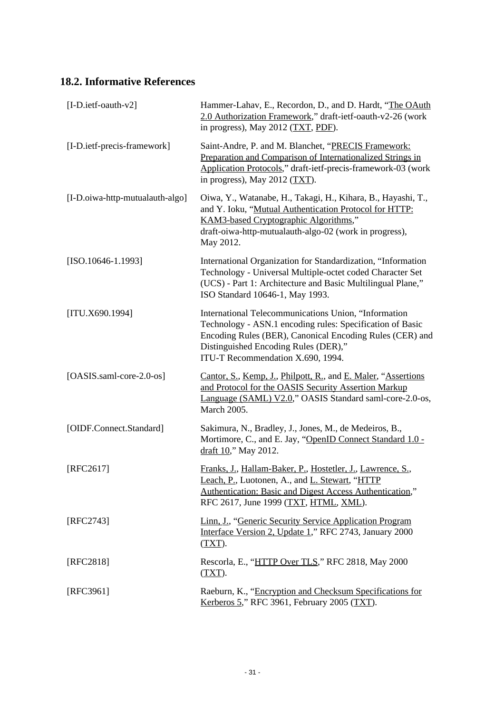### <span id="page-30-1"></span><span id="page-30-0"></span>**18.2. Informative References**

| $[I-D.ietf- oauth-v2]$          | Hammer-Lahav, E., Recordon, D., and D. Hardt, "The OAuth<br>2.0 Authorization Framework," draft-ietf-oauth-v2-26 (work<br>in progress), May 2012 $(TXT, PDF)$ .                                                                                            |
|---------------------------------|------------------------------------------------------------------------------------------------------------------------------------------------------------------------------------------------------------------------------------------------------------|
| [I-D.ietf-precis-framework]     | Saint-Andre, P. and M. Blanchet, "PRECIS Framework:<br>Preparation and Comparison of Internationalized Strings in<br>Application Protocols," draft-ietf-precis-framework-03 (work<br>in progress), May 2012 $(TXT)$ .                                      |
| [I-D.oiwa-http-mutualauth-algo] | Oiwa, Y., Watanabe, H., Takagi, H., Kihara, B., Hayashi, T.,<br>and Y. Ioku, "Mutual Authentication Protocol for HTTP:<br>KAM3-based Cryptographic Algorithms,"<br>draft-oiwa-http-mutualauth-algo-02 (work in progress),<br>May 2012.                     |
| $[ISO.10646-1.1993]$            | International Organization for Standardization, "Information<br>Technology - Universal Multiple-octet coded Character Set<br>(UCS) - Part 1: Architecture and Basic Multilingual Plane,"<br>ISO Standard 10646-1, May 1993.                                |
| [ITU.X690.1994]                 | International Telecommunications Union, "Information<br>Technology - ASN.1 encoding rules: Specification of Basic<br>Encoding Rules (BER), Canonical Encoding Rules (CER) and<br>Distinguished Encoding Rules (DER),"<br>ITU-T Recommendation X.690, 1994. |
| [OASIS.saml-core-2.0-os]        | Cantor, S., Kemp, J., Philpott, R., and E. Maler, "Assertions<br>and Protocol for the OASIS Security Assertion Markup<br>Language (SAML) V2.0," OASIS Standard saml-core-2.0-os,<br>March 2005.                                                            |
| [OIDF.Connect.Standard]         | Sakimura, N., Bradley, J., Jones, M., de Medeiros, B.,<br>Mortimore, C., and E. Jay, "OpenID Connect Standard 1.0 -<br>draft 10," May 2012.                                                                                                                |
| [RFC2617]                       | Franks, J., Hallam-Baker, P., Hostetler, J., Lawrence, S.,<br>Leach, P., Luotonen, A., and L. Stewart, "HTTP<br>Authentication: Basic and Digest Access Authentication,"<br>RFC 2617, June 1999 (TXT, HTML, XML).                                          |
| [RFC2743]                       | Linn, J., "Generic Security Service Application Program<br>Interface Version 2, Update 1," RFC 2743, January 2000<br>$(TXT)$ .                                                                                                                             |
| [RFC2818]                       | Rescorla, E., "HTTP Over TLS," RFC 2818, May 2000<br>$(TXT)$ .                                                                                                                                                                                             |
| [RFC3961]                       | Raeburn, K., "Encryption and Checksum Specifications for<br>Kerberos 5," RFC 3961, February 2005 $(TXT)$ .                                                                                                                                                 |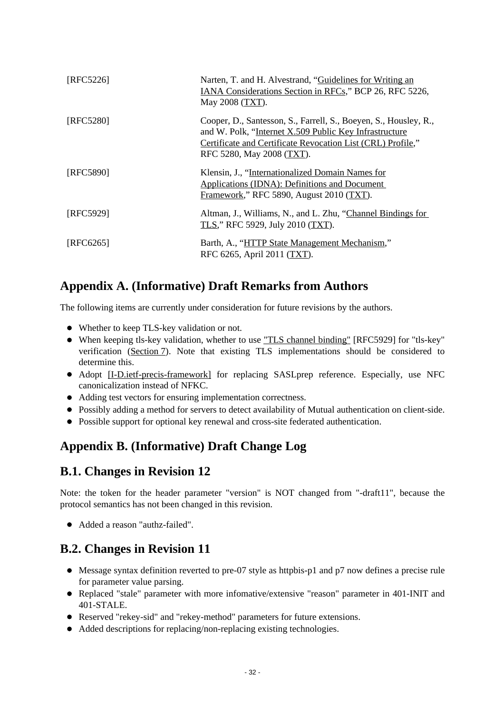<span id="page-31-4"></span>

| [RFC5226] | Narten, T. and H. Alvestrand, "Guidelines for Writing an<br>IANA Considerations Section in RFCs," BCP 26, RFC 5226,<br>May 2008 (TXT).                                                                                 |
|-----------|------------------------------------------------------------------------------------------------------------------------------------------------------------------------------------------------------------------------|
| [RFC5280] | Cooper, D., Santesson, S., Farrell, S., Boeyen, S., Housley, R.,<br>and W. Polk, "Internet X.509 Public Key Infrastructure<br>Certificate and Certificate Revocation List (CRL) Profile,"<br>RFC 5280, May 2008 (TXT). |
| [RFC5890] | Klensin, J., "Internationalized Domain Names for<br>Applications (IDNA): Definitions and Document<br>Framework," RFC 5890, August 2010 (TXT).                                                                          |
| [RFC5929] | Altman, J., Williams, N., and L. Zhu, "Channel Bindings for<br>TLS," RFC 5929, July 2010 (TXT).                                                                                                                        |
| [RFC6265] | Barth, A., "HTTP State Management Mechanism,"<br>RFC 6265, April 2011 (TXT).                                                                                                                                           |

## <span id="page-31-0"></span>**Appendix A. (Informative) Draft Remarks from Authors**

The following items are currently under consideration for future revisions by the authors.

- Whether to keep TLS-key validation or not.
- When keeping tls-key validation, whether to use ["TLS channel binding"](#page-31-4) [RFC5929] for "tls-key" verification [\(Section 7\)](#page-18-0). Note that existing TLS implementations should be considered to determine this.
- Adopt [\[I-D.ietf-precis-framework\]](#page-30-1) for replacing SASLprep reference. Especially, use NFC canonicalization instead of NFKC.
- Adding test vectors for ensuring implementation correctness.
- Possibly adding a method for servers to detect availability of Mutual authentication on client-side.
- Possible support for optional key renewal and cross-site federated authentication.

## <span id="page-31-1"></span>**Appendix B. (Informative) Draft Change Log**

### <span id="page-31-2"></span>**B.1. Changes in Revision 12**

Note: the token for the header parameter "version" is NOT changed from "-draft11", because the protocol semantics has not been changed in this revision.

Added a reason "authz-failed".

# <span id="page-31-3"></span>**B.2. Changes in Revision 11**

- Message syntax definition reverted to pre-07 style as httpbis-p1 and p7 now defines a precise rule for parameter value parsing.
- Replaced "stale" parameter with more infomative/extensive "reason" parameter in 401-INIT and 401-STALE.
- Reserved "rekey-sid" and "rekey-method" parameters for future extensions.
- Added descriptions for replacing/non-replacing existing technologies.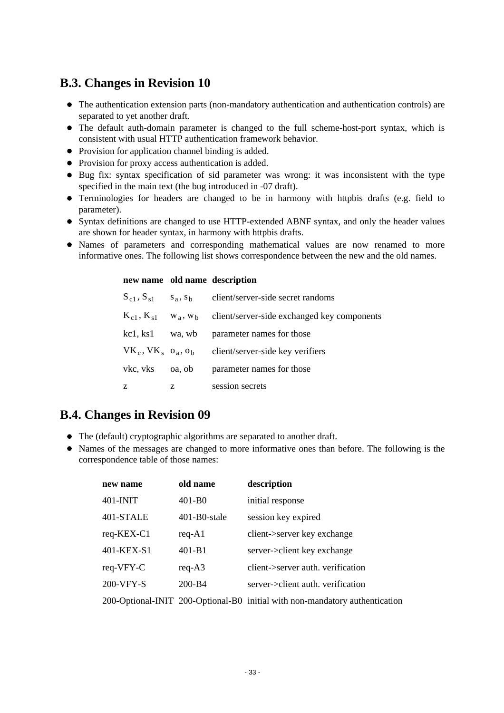### <span id="page-32-0"></span>**B.3. Changes in Revision 10**

- The authentication extension parts (non-mandatory authentication and authentication controls) are separated to yet another draft.
- The default auth-domain parameter is changed to the full scheme-host-port syntax, which is consistent with usual HTTP authentication framework behavior.
- Provision for application channel binding is added.
- Provision for proxy access authentication is added.
- Bug fix: syntax specification of sid parameter was wrong: it was inconsistent with the type specified in the main text (the bug introduced in -07 draft).
- Terminologies for headers are changed to be in harmony with httpbis drafts (e.g. field to parameter).
- Syntax definitions are changed to use HTTP-extended ABNF syntax, and only the header values are shown for header syntax, in harmony with httpbis drafts.
- Names of parameters and corresponding mathematical values are now renamed to more informative ones. The following list shows correspondence between the new and the old names.

#### **new name old name description**

|          |   | $S_{c1}$ , $S_{s1}$ $s_a$ , $s_b$ client/server-side secret randoms                             |
|----------|---|-------------------------------------------------------------------------------------------------|
|          |   | $K_{c1}$ , $K_{s1}$ w <sub>a</sub> , w <sub>b</sub> client/server-side exchanged key components |
|          |   | kc1, ks1 wa, wb parameter names for those                                                       |
|          |   | $VK_c, VK_s$ $o_a, o_b$ client/server-side key verifiers                                        |
| vkc, vks |   | oa, ob parameter names for those                                                                |
| z        | Z | session secrets                                                                                 |

### <span id="page-32-1"></span>**B.4. Changes in Revision 09**

- The (default) cryptographic algorithms are separated to another draft.
- Names of the messages are changed to more informative ones than before. The following is the correspondence table of those names:

| new name   | old name     | description                                                                 |
|------------|--------------|-----------------------------------------------------------------------------|
| 401-INIT   | $401-B0$     | initial response                                                            |
| 401-STALE  | 401-B0-stale | session key expired                                                         |
| req-KEX-C1 | $req - A1$   | client->server key exchange                                                 |
| 401-KEX-S1 | $401 - B1$   | server->client key exchange                                                 |
| req-VFY-C  | $req - A3$   | client->server auth. verification                                           |
| 200-VFY-S  | 200-B4       | server->client auth. verification                                           |
|            |              | 200-Optional-INIT 200-Optional-B0 initial with non-mandatory authentication |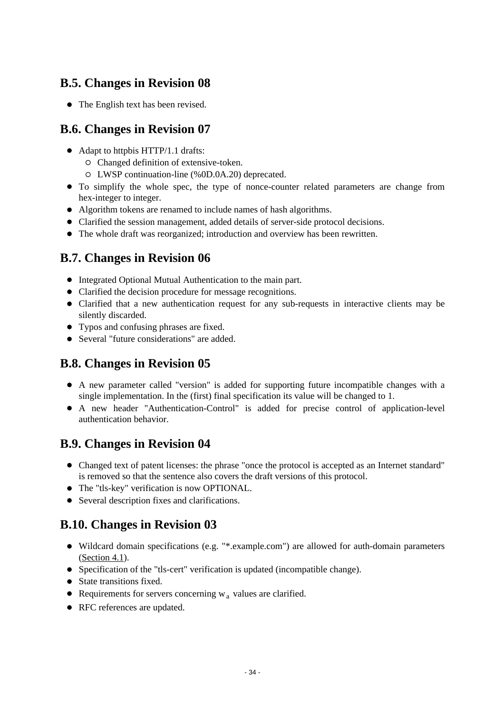## <span id="page-33-0"></span>**B.5. Changes in Revision 08**

• The English text has been revised.

## <span id="page-33-1"></span>**B.6. Changes in Revision 07**

- Adapt to httpbis HTTP/1.1 drafts:
	- Changed definition of extensive-token.
	- LWSP continuation-line (%0D.0A.20) deprecated.
- To simplify the whole spec, the type of nonce-counter related parameters are change from hex-integer to integer.
- Algorithm tokens are renamed to include names of hash algorithms.
- Clarified the session management, added details of server-side protocol decisions.
- The whole draft was reorganized; introduction and overview has been rewritten.

## <span id="page-33-2"></span>**B.7. Changes in Revision 06**

- $\bullet$  Integrated Optional Mutual Authentication to the main part.
- Clarified the decision procedure for message recognitions.
- Clarified that a new authentication request for any sub-requests in interactive clients may be silently discarded.
- Typos and confusing phrases are fixed.
- Several "future considerations" are added.

## <span id="page-33-3"></span>**B.8. Changes in Revision 05**

- A new parameter called "version" is added for supporting future incompatible changes with a single implementation. In the (first) final specification its value will be changed to 1.
- A new header "Authentication-Control" is added for precise control of application-level authentication behavior.

### <span id="page-33-4"></span>**B.9. Changes in Revision 04**

- Changed text of patent licenses: the phrase "once the protocol is accepted as an Internet standard" is removed so that the sentence also covers the draft versions of this protocol.
- The "tls-key" verification is now OPTIONAL.
- Several description fixes and clarifications.

# <span id="page-33-5"></span>**B.10. Changes in Revision 03**

- Wildcard domain specifications (e.g. "\*.example.com") are allowed for auth-domain parameters [\(Section 4.1\)](#page-12-0).
- Specification of the "tls-cert" verification is updated (incompatible change).
- State transitions fixed.
- Requirements for servers concerning  $w_a$  values are clarified.
- RFC references are updated.